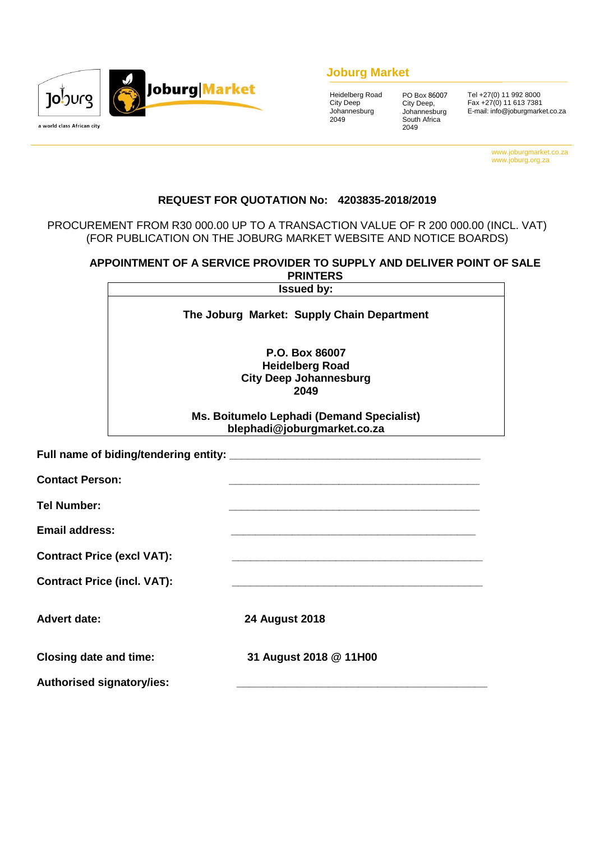

## **Joburg Market**

| Heidelberg Road |
|-----------------|
| City Deep       |
| Johannesburg    |
| 2049            |
|                 |

PO Box 86007 City Deep, Johannesburg South Africa 2049

Tel +27(0) 11 992 8000 Fax +27(0) 11 613 7381 E-mail: info@joburgmarket.co.za

> www.joburgmarket.co.za www.joburg.org.za

## **REQUEST FOR QUOTATION No: 4203835-2018/2019**

### PROCUREMENT FROM R30 000.00 UP TO A TRANSACTION VALUE OF R 200 000.00 (INCL. VAT) (FOR PUBLICATION ON THE JOBURG MARKET WEBSITE AND NOTICE BOARDS)

## **APPOINTMENT OF A SERVICE PROVIDER TO SUPPLY AND DELIVER POINT OF SALE PRINTERS**

|                                       | <b>Issued by:</b>                                                                 |  |  |  |
|---------------------------------------|-----------------------------------------------------------------------------------|--|--|--|
|                                       | The Joburg Market: Supply Chain Department                                        |  |  |  |
|                                       | P.O. Box 86007<br><b>Heidelberg Road</b><br><b>City Deep Johannesburg</b><br>2049 |  |  |  |
|                                       | Ms. Boitumelo Lephadi (Demand Specialist)<br>blephadi@joburgmarket.co.za          |  |  |  |
| Full name of biding/tendering entity: |                                                                                   |  |  |  |
| <b>Contact Person:</b>                |                                                                                   |  |  |  |
| <b>Tel Number:</b>                    |                                                                                   |  |  |  |
| <b>Email address:</b>                 |                                                                                   |  |  |  |
| <b>Contract Price (excl VAT):</b>     |                                                                                   |  |  |  |
|                                       |                                                                                   |  |  |  |

**Contract Price (incl. VAT):** 

**Advert date: 24 August 2018**

**Closing date and time: 31 August 2018 @ 11H00**

**Authorised signatory/ies: \_\_\_\_\_\_\_\_\_\_\_\_\_\_\_\_\_\_\_\_\_\_\_\_\_\_\_\_\_\_\_\_\_\_\_\_\_\_\_\_\_**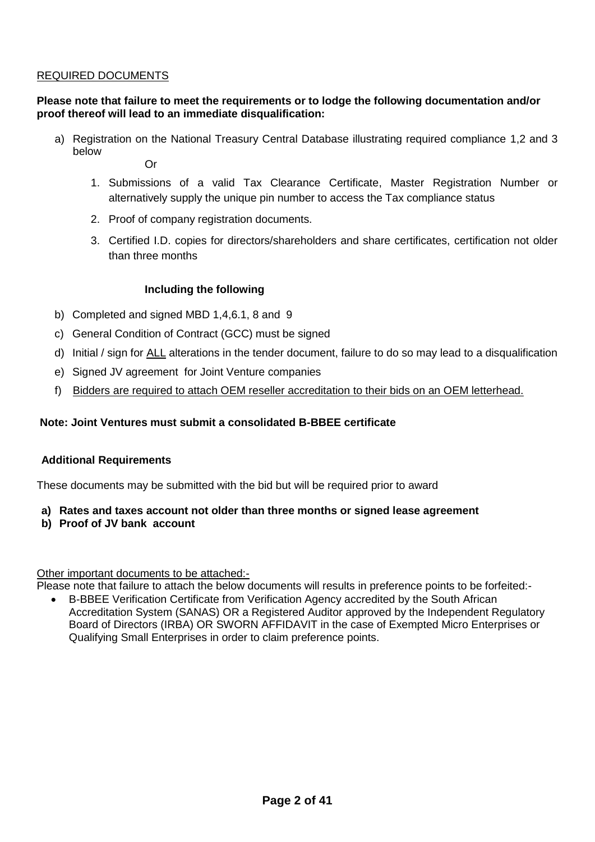## REQUIRED DOCUMENTS

## **Please note that failure to meet the requirements or to lodge the following documentation and/or proof thereof will lead to an immediate disqualification:**

- a) Registration on the National Treasury Central Database illustrating required compliance 1,2 and 3 below
	- Or
	- 1. Submissions of a valid Tax Clearance Certificate, Master Registration Number or alternatively supply the unique pin number to access the Tax compliance status
	- 2. Proof of company registration documents.
	- 3. Certified I.D. copies for directors/shareholders and share certificates, certification not older than three months

### **Including the following**

- b) Completed and signed MBD 1,4,6.1, 8 and 9
- c) General Condition of Contract (GCC) must be signed
- d) Initial / sign for ALL alterations in the tender document, failure to do so may lead to a disqualification
- e) Signed JV agreement for Joint Venture companies
- f) Bidders are required to attach OEM reseller accreditation to their bids on an OEM letterhead.

## **Note: Joint Ventures must submit a consolidated B-BBEE certificate**

### **Additional Requirements**

These documents may be submitted with the bid but will be required prior to award

- **a) Rates and taxes account not older than three months or signed lease agreement**
- **b) Proof of JV bank account**

### Other important documents to be attached:-

Please note that failure to attach the below documents will results in preference points to be forfeited:-

 B-BBEE Verification Certificate from Verification Agency accredited by the South African Accreditation System (SANAS) OR a Registered Auditor approved by the Independent Regulatory Board of Directors (IRBA) OR SWORN AFFIDAVIT in the case of Exempted Micro Enterprises or Qualifying Small Enterprises in order to claim preference points.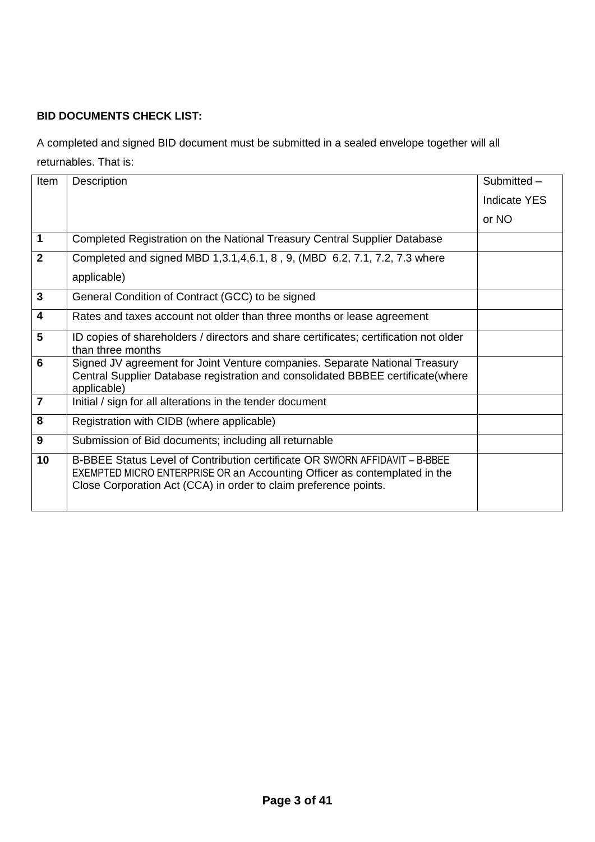## **BID DOCUMENTS CHECK LIST:**

A completed and signed BID document must be submitted in a sealed envelope together will all returnables. That is:

| Item                    | Description                                                                                                                                                                                                                  | Submitted -  |
|-------------------------|------------------------------------------------------------------------------------------------------------------------------------------------------------------------------------------------------------------------------|--------------|
|                         |                                                                                                                                                                                                                              | Indicate YES |
|                         |                                                                                                                                                                                                                              | or NO        |
| 1                       | Completed Registration on the National Treasury Central Supplier Database                                                                                                                                                    |              |
| $\mathbf{2}$            | Completed and signed MBD 1,3.1,4,6.1, 8, 9, (MBD 6.2, 7.1, 7.2, 7.3 where                                                                                                                                                    |              |
|                         | applicable)                                                                                                                                                                                                                  |              |
| 3                       | General Condition of Contract (GCC) to be signed                                                                                                                                                                             |              |
| $\overline{\mathbf{4}}$ | Rates and taxes account not older than three months or lease agreement                                                                                                                                                       |              |
| 5                       | ID copies of shareholders / directors and share certificates; certification not older<br>than three months                                                                                                                   |              |
| 6                       | Signed JV agreement for Joint Venture companies. Separate National Treasury<br>Central Supplier Database registration and consolidated BBBEE certificate(where<br>applicable)                                                |              |
| $\overline{7}$          | Initial / sign for all alterations in the tender document                                                                                                                                                                    |              |
| 8                       | Registration with CIDB (where applicable)                                                                                                                                                                                    |              |
| 9                       | Submission of Bid documents; including all returnable                                                                                                                                                                        |              |
| 10                      | B-BBEE Status Level of Contribution certificate OR SWORN AFFIDAVIT - B-BBEE<br>EXEMPTED MICRO ENTERPRISE OR an Accounting Officer as contemplated in the<br>Close Corporation Act (CCA) in order to claim preference points. |              |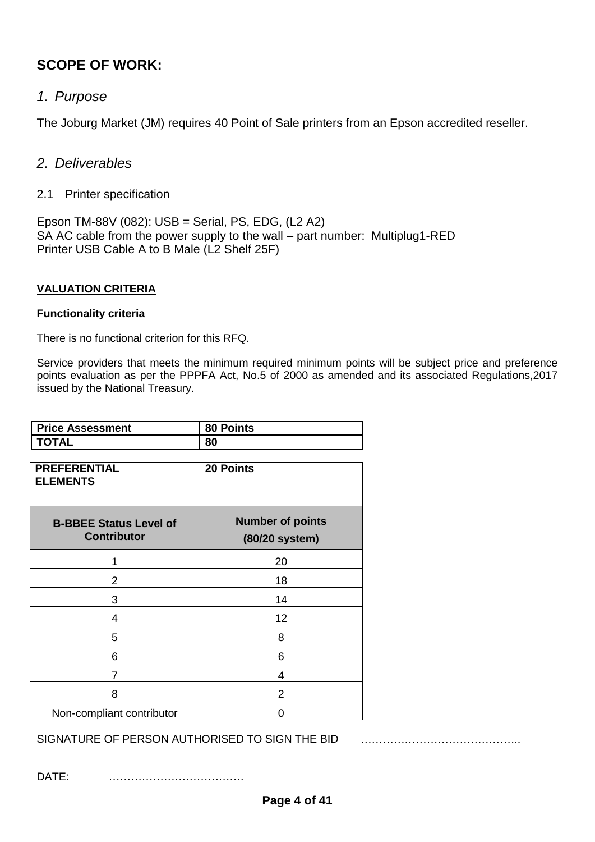# **SCOPE OF WORK:**

# *1. Purpose*

The Joburg Market (JM) requires 40 Point of Sale printers from an Epson accredited reseller.

# *2. Deliverables*

2.1 Printer specification

Epson TM-88V (082): USB = Serial, PS, EDG, (L2 A2) SA AC cable from the power supply to the wall – part number: Multiplug1-RED Printer USB Cable A to B Male (L2 Shelf 25F)

## **VALUATION CRITERIA**

## **Functionality criteria**

There is no functional criterion for this RFQ.

Service providers that meets the minimum required minimum points will be subject price and preference points evaluation as per the PPPFA Act, No.5 of 2000 as amended and its associated Regulations,2017 issued by the National Treasury.

| <b>Price Assessment</b>                             | 80 Points                                 |
|-----------------------------------------------------|-------------------------------------------|
| TOTAL                                               | 80                                        |
| <b>PREFERENTIAL</b><br><b>ELEMENTS</b>              | 20 Points                                 |
| <b>B-BBEE Status Level of</b><br><b>Contributor</b> | <b>Number of points</b><br>(80/20 system) |
| 1                                                   | 20                                        |
| 2                                                   | 18                                        |
| 3                                                   | 14                                        |
| $\overline{4}$                                      | 12                                        |
| 5                                                   | 8                                         |
| 6                                                   | 6                                         |
| 7                                                   | 4                                         |
| 8                                                   | 2                                         |
| Non-compliant contributor                           | ი                                         |

SIGNATURE OF PERSON AUTHORISED TO SIGN THE BID **FIG. 1.1.1.1.1.1.1.1.1.1.1.1.1.1.1.1.1.1.** 

DATE: ……………………………….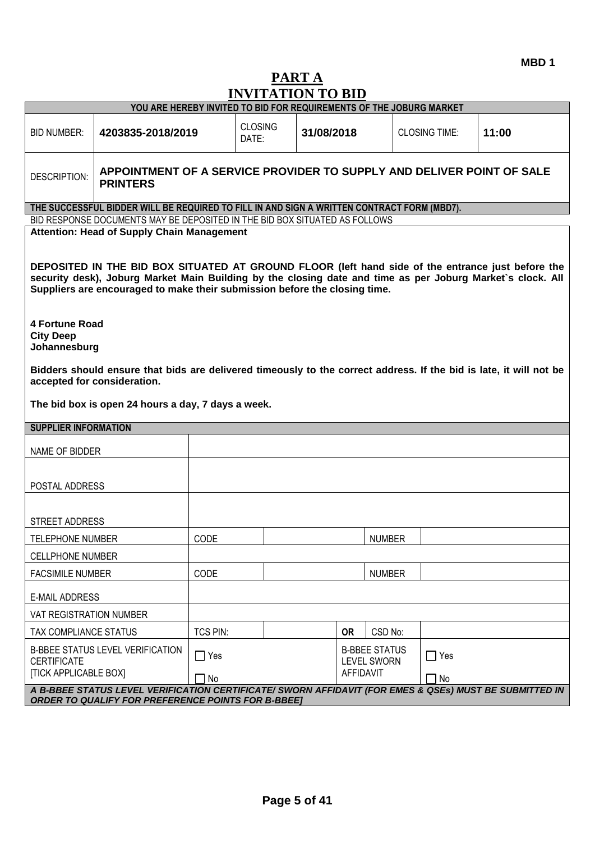**MBD 1**

# **PART A INVITATION TO BID**

|                                                                                                                                                                     | YOU ARE HEREBY INVITED TO BID FOR REQUIREMENTS OF THE JOBURG MARKET                                                                                                                                                                                                                           |                         |                         |                                                                |  |               |                         |       |
|---------------------------------------------------------------------------------------------------------------------------------------------------------------------|-----------------------------------------------------------------------------------------------------------------------------------------------------------------------------------------------------------------------------------------------------------------------------------------------|-------------------------|-------------------------|----------------------------------------------------------------|--|---------------|-------------------------|-------|
| <b>BID NUMBER:</b>                                                                                                                                                  | 4203835-2018/2019                                                                                                                                                                                                                                                                             |                         | <b>CLOSING</b><br>DATE: | 31/08/2018                                                     |  |               | <b>CLOSING TIME:</b>    | 11:00 |
| <b>DESCRIPTION:</b>                                                                                                                                                 | APPOINTMENT OF A SERVICE PROVIDER TO SUPPLY AND DELIVER POINT OF SALE<br><b>PRINTERS</b>                                                                                                                                                                                                      |                         |                         |                                                                |  |               |                         |       |
|                                                                                                                                                                     | THE SUCCESSFUL BIDDER WILL BE REQUIRED TO FILL IN AND SIGN A WRITTEN CONTRACT FORM (MBD7).                                                                                                                                                                                                    |                         |                         |                                                                |  |               |                         |       |
|                                                                                                                                                                     | BID RESPONSE DOCUMENTS MAY BE DEPOSITED IN THE BID BOX SITUATED AS FOLLOWS<br><b>Attention: Head of Supply Chain Management</b>                                                                                                                                                               |                         |                         |                                                                |  |               |                         |       |
| <b>4 Fortune Road</b>                                                                                                                                               | DEPOSITED IN THE BID BOX SITUATED AT GROUND FLOOR (left hand side of the entrance just before the<br>security desk), Joburg Market Main Building by the closing date and time as per Joburg Market's clock. All<br>Suppliers are encouraged to make their submission before the closing time. |                         |                         |                                                                |  |               |                         |       |
| <b>City Deep</b><br>Johannesburg                                                                                                                                    |                                                                                                                                                                                                                                                                                               |                         |                         |                                                                |  |               |                         |       |
|                                                                                                                                                                     | Bidders should ensure that bids are delivered timeously to the correct address. If the bid is late, it will not be<br>accepted for consideration.                                                                                                                                             |                         |                         |                                                                |  |               |                         |       |
|                                                                                                                                                                     | The bid box is open 24 hours a day, 7 days a week.                                                                                                                                                                                                                                            |                         |                         |                                                                |  |               |                         |       |
| <b>SUPPLIER INFORMATION</b>                                                                                                                                         |                                                                                                                                                                                                                                                                                               |                         |                         |                                                                |  |               |                         |       |
| NAME OF BIDDER                                                                                                                                                      |                                                                                                                                                                                                                                                                                               |                         |                         |                                                                |  |               |                         |       |
| POSTAL ADDRESS                                                                                                                                                      |                                                                                                                                                                                                                                                                                               |                         |                         |                                                                |  |               |                         |       |
| STREET ADDRESS                                                                                                                                                      |                                                                                                                                                                                                                                                                                               |                         |                         |                                                                |  |               |                         |       |
| <b>TELEPHONE NUMBER</b>                                                                                                                                             |                                                                                                                                                                                                                                                                                               | CODE                    |                         |                                                                |  | <b>NUMBER</b> |                         |       |
| <b>CELLPHONE NUMBER</b>                                                                                                                                             |                                                                                                                                                                                                                                                                                               |                         |                         |                                                                |  |               |                         |       |
| <b>FACSIMILE NUMBER</b>                                                                                                                                             |                                                                                                                                                                                                                                                                                               | CODE                    |                         |                                                                |  | <b>NUMBER</b> |                         |       |
|                                                                                                                                                                     | <b>E-MAIL ADDRESS</b>                                                                                                                                                                                                                                                                         |                         |                         |                                                                |  |               |                         |       |
| VAT REGISTRATION NUMBER                                                                                                                                             |                                                                                                                                                                                                                                                                                               |                         |                         |                                                                |  |               |                         |       |
| TAX COMPLIANCE STATUS                                                                                                                                               |                                                                                                                                                                                                                                                                                               | <b>TCS PIN:</b>         |                         | <b>OR</b>                                                      |  | CSD No:       |                         |       |
| <b>B-BBEE STATUS LEVEL VERIFICATION</b><br><b>CERTIFICATE</b><br><b>[TICK APPLICABLE BOX]</b>                                                                       |                                                                                                                                                                                                                                                                                               | $\Box$ Yes<br>$\Box$ No |                         | <b>B-BBEE STATUS</b><br><b>LEVEL SWORN</b><br><b>AFFIDAVIT</b> |  |               | $\Box$ Yes<br>$\Box$ No |       |
| A B-BBEE STATUS LEVEL VERIFICATION CERTIFICATE/ SWORN AFFIDAVIT (FOR EMES & QSEs) MUST BE SUBMITTED IN<br><b>ORDER TO QUALIFY FOR PREFERENCE POINTS FOR B-BBEE]</b> |                                                                                                                                                                                                                                                                                               |                         |                         |                                                                |  |               |                         |       |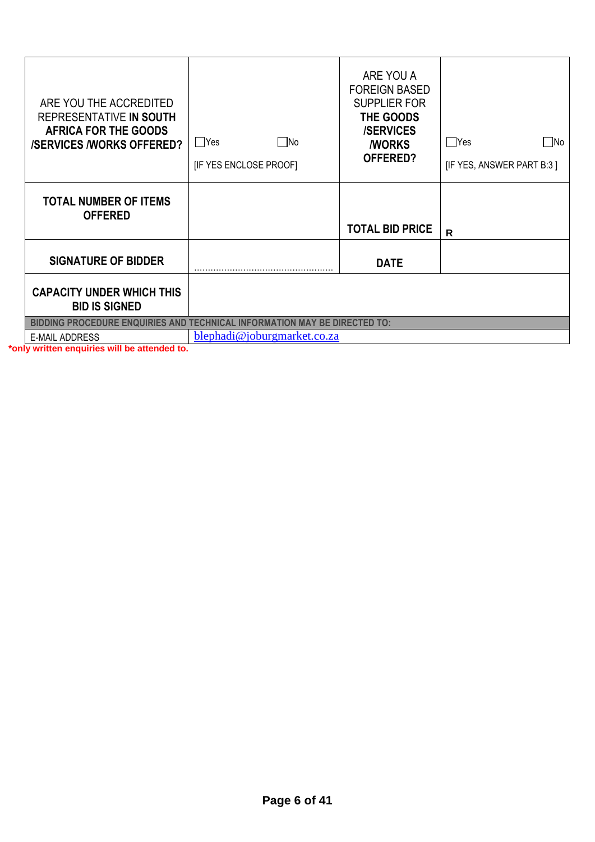| ARE YOU THE ACCREDITED<br>REPRESENTATIVE IN SOUTH<br><b>AFRICA FOR THE GOODS</b><br><b>/SERVICES /WORKS OFFERED?</b> | $\square$ No<br>$\Box$ Yes<br>[IF YES ENCLOSE PROOF] | ARE YOU A<br><b>FOREIGN BASED</b><br><b>SUPPLIER FOR</b><br>THE GOODS<br><b>/SERVICES</b><br><b><i>NORKS</i></b><br><b>OFFERED?</b> | $\bigcap$ Yes<br>lNo<br>[IF YES, ANSWER PART B:3] |
|----------------------------------------------------------------------------------------------------------------------|------------------------------------------------------|-------------------------------------------------------------------------------------------------------------------------------------|---------------------------------------------------|
| <b>TOTAL NUMBER OF ITEMS</b><br><b>OFFERED</b>                                                                       |                                                      | <b>TOTAL BID PRICE</b>                                                                                                              | $\mathsf{R}$                                      |
| <b>SIGNATURE OF BIDDER</b>                                                                                           |                                                      | <b>DATE</b>                                                                                                                         |                                                   |
| <b>CAPACITY UNDER WHICH THIS</b><br><b>BID IS SIGNED</b>                                                             |                                                      |                                                                                                                                     |                                                   |
| <b>BIDDING PROCEDURE ENQUIRIES AND TECHNICAL INFORMATION MAY BE DIRECTED TO:</b>                                     |                                                      |                                                                                                                                     |                                                   |
| <b>E-MAIL ADDRESS</b>                                                                                                | blephadi@joburgmarket.co.za                          |                                                                                                                                     |                                                   |
|                                                                                                                      |                                                      |                                                                                                                                     |                                                   |

**\*only written enquiries will be attended to.**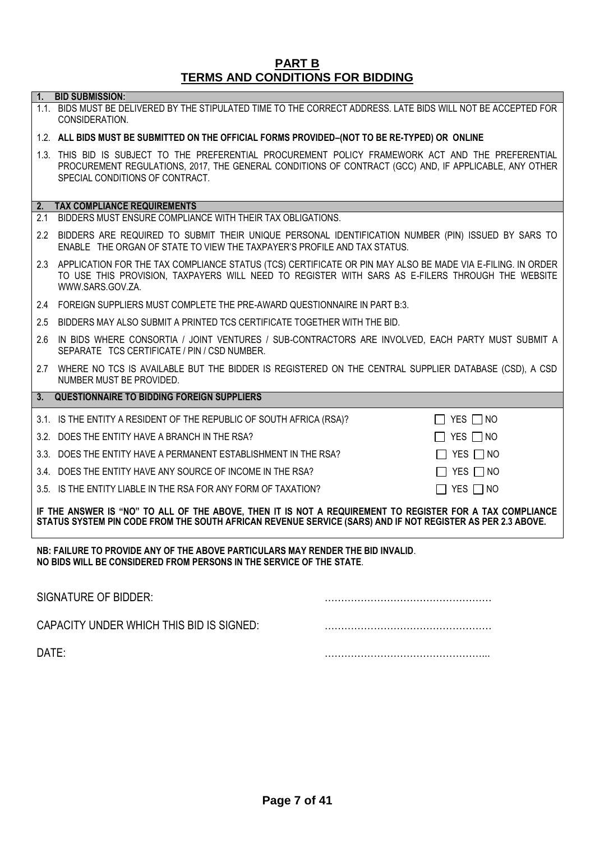## **PART B TERMS AND CONDITIONS FOR BIDDING**

|                                                                                                                                                                                                                        | 1. BID SUBMISSION:                                                                                                                                                                                                                             |                      |  |  |  |
|------------------------------------------------------------------------------------------------------------------------------------------------------------------------------------------------------------------------|------------------------------------------------------------------------------------------------------------------------------------------------------------------------------------------------------------------------------------------------|----------------------|--|--|--|
|                                                                                                                                                                                                                        | 1.1. BIDS MUST BE DELIVERED BY THE STIPULATED TIME TO THE CORRECT ADDRESS. LATE BIDS WILL NOT BE ACCEPTED FOR<br>CONSIDERATION.                                                                                                                |                      |  |  |  |
|                                                                                                                                                                                                                        | 1.2. ALL BIDS MUST BE SUBMITTED ON THE OFFICIAL FORMS PROVIDED-(NOT TO BE RE-TYPED) OR ONLINE                                                                                                                                                  |                      |  |  |  |
|                                                                                                                                                                                                                        | 1.3. THIS BID IS SUBJECT TO THE PREFERENTIAL PROCUREMENT POLICY FRAMEWORK ACT AND THE PREFERENTIAL<br>PROCUREMENT REGULATIONS, 2017, THE GENERAL CONDITIONS OF CONTRACT (GCC) AND, IF APPLICABLE, ANY OTHER<br>SPECIAL CONDITIONS OF CONTRACT. |                      |  |  |  |
| 2.                                                                                                                                                                                                                     | <b>TAX COMPLIANCE REQUIREMENTS</b>                                                                                                                                                                                                             |                      |  |  |  |
| 2.1                                                                                                                                                                                                                    | BIDDERS MUST ENSURE COMPLIANCE WITH THEIR TAX OBLIGATIONS.                                                                                                                                                                                     |                      |  |  |  |
| $2.2^{\circ}$                                                                                                                                                                                                          | BIDDERS ARE REQUIRED TO SUBMIT THEIR UNIQUE PERSONAL IDENTIFICATION NUMBER (PIN) ISSUED BY SARS TO<br>ENABLE THE ORGAN OF STATE TO VIEW THE TAXPAYER'S PROFILE AND TAX STATUS.                                                                 |                      |  |  |  |
|                                                                                                                                                                                                                        | 2.3 APPLICATION FOR THE TAX COMPLIANCE STATUS (TCS) CERTIFICATE OR PIN MAY ALSO BE MADE VIA E-FILING. IN ORDER<br>TO USE THIS PROVISION, TAXPAYERS WILL NEED TO REGISTER WITH SARS AS E-FILERS THROUGH THE WEBSITE<br>WWW.SARS.GOV.ZA.         |                      |  |  |  |
|                                                                                                                                                                                                                        | 2.4 FOREIGN SUPPLIERS MUST COMPLETE THE PRE-AWARD QUESTIONNAIRE IN PART B:3.                                                                                                                                                                   |                      |  |  |  |
| 2.5                                                                                                                                                                                                                    | BIDDERS MAY ALSO SUBMIT A PRINTED TCS CERTIFICATE TOGETHER WITH THE BID.                                                                                                                                                                       |                      |  |  |  |
| 2.6                                                                                                                                                                                                                    | IN BIDS WHERE CONSORTIA / JOINT VENTURES / SUB-CONTRACTORS ARE INVOLVED, EACH PARTY MUST SUBMIT A<br>SEPARATE TCS CERTIFICATE / PIN / CSD NUMBER.                                                                                              |                      |  |  |  |
|                                                                                                                                                                                                                        | 2.7 WHERE NO TCS IS AVAILABLE BUT THE BIDDER IS REGISTERED ON THE CENTRAL SUPPLIER DATABASE (CSD), A CSD<br>NUMBER MUST BE PROVIDED.                                                                                                           |                      |  |  |  |
| 3.                                                                                                                                                                                                                     | <b>QUESTIONNAIRE TO BIDDING FOREIGN SUPPLIERS</b>                                                                                                                                                                                              |                      |  |  |  |
|                                                                                                                                                                                                                        | 3.1. IS THE ENTITY A RESIDENT OF THE REPUBLIC OF SOUTH AFRICA (RSA)?                                                                                                                                                                           | $\Box$ YES $\Box$ NO |  |  |  |
|                                                                                                                                                                                                                        | 3.2. DOES THE ENTITY HAVE A BRANCH IN THE RSA?                                                                                                                                                                                                 | $\Box$ YES $\Box$ NO |  |  |  |
|                                                                                                                                                                                                                        | 3.3. DOES THE ENTITY HAVE A PERMANENT ESTABLISHMENT IN THE RSA?                                                                                                                                                                                | $\Box$ YES $\Box$ NO |  |  |  |
|                                                                                                                                                                                                                        | 3.4. DOES THE ENTITY HAVE ANY SOURCE OF INCOME IN THE RSA?                                                                                                                                                                                     | YES $\Box$ NO        |  |  |  |
|                                                                                                                                                                                                                        | 3.5. IS THE ENTITY LIABLE IN THE RSA FOR ANY FORM OF TAXATION?                                                                                                                                                                                 | YES $\Box$ NO        |  |  |  |
| IF THE ANSWER IS "NO" TO ALL OF THE ABOVE, THEN IT IS NOT A REQUIREMENT TO REGISTER FOR A TAX COMPLIANCE<br>STATUS SYSTEM PIN CODE FROM THE SOUTH AFRICAN REVENUE SERVICE (SARS) AND IF NOT REGISTER AS PER 2.3 ABOVE. |                                                                                                                                                                                                                                                |                      |  |  |  |
| NB: FAILURE TO PROVIDE ANY OF THE ABOVE PARTICULARS MAY RENDER THE BID INVALID.<br>NO BIDS WILL BE CONSIDERED FROM PERSONS IN THE SERVICE OF THE STATE.                                                                |                                                                                                                                                                                                                                                |                      |  |  |  |
| <b>SIGNATURE OF BIDDER:</b>                                                                                                                                                                                            |                                                                                                                                                                                                                                                |                      |  |  |  |
|                                                                                                                                                                                                                        | CAPACITY UNDER WHICH THIS BID IS SIGNED:                                                                                                                                                                                                       |                      |  |  |  |

DATE: …………………………………………...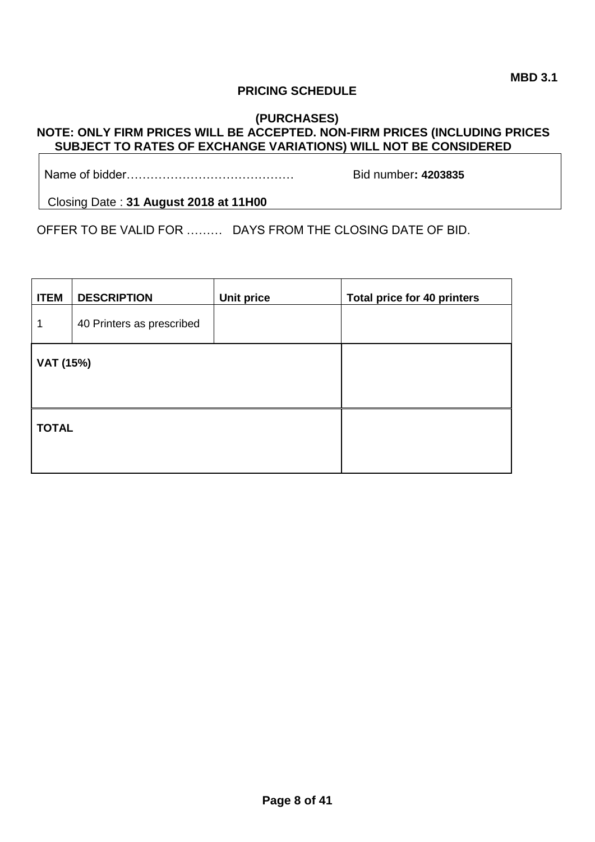## **PRICING SCHEDULE**

## **(PURCHASES) NOTE: ONLY FIRM PRICES WILL BE ACCEPTED. NON-FIRM PRICES (INCLUDING PRICES SUBJECT TO RATES OF EXCHANGE VARIATIONS) WILL NOT BE CONSIDERED**

Name of bidder…………………………………… Bid number**: 4203835**

Closing Date : **31 August 2018 at 11H00**

OFFER TO BE VALID FOR ……… DAYS FROM THE CLOSING DATE OF BID.

| <b>ITEM</b>  | <b>DESCRIPTION</b>        | <b>Unit price</b> | <b>Total price for 40 printers</b> |
|--------------|---------------------------|-------------------|------------------------------------|
| 1            | 40 Printers as prescribed |                   |                                    |
| VAT (15%)    |                           |                   |                                    |
| <b>TOTAL</b> |                           |                   |                                    |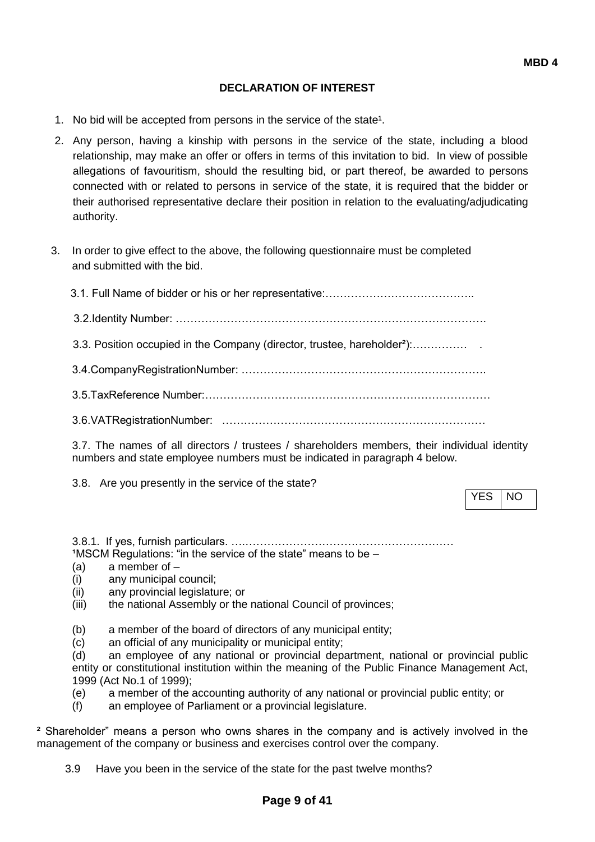## **DECLARATION OF INTEREST**

- 1. No bid will be accepted from persons in the service of the state<sup>1</sup>.
- 2. Any person, having a kinship with persons in the service of the state, including a blood relationship, may make an offer or offers in terms of this invitation to bid. In view of possible allegations of favouritism, should the resulting bid, or part thereof, be awarded to persons connected with or related to persons in service of the state, it is required that the bidder or their authorised representative declare their position in relation to the evaluating/adjudicating authority.
- 3. In order to give effect to the above, the following questionnaire must be completed and submitted with the bid.

| 3.3. Position occupied in the Company (director, trustee, hareholder <sup>2</sup> ): |
|--------------------------------------------------------------------------------------|
|                                                                                      |
|                                                                                      |
|                                                                                      |

3.7. The names of all directors / trustees / shareholders members, their individual identity numbers and state employee numbers must be indicated in paragraph 4 below.

3.8. Are you presently in the service of the state?

YES INO

3.8.1. If yes, furnish particulars. ….…………………………………………………  $1$ MSCM Regulations: "in the service of the state" means to be  $-$ 

- (a) a member of –
- (i) any municipal council;
- (ii) any provincial legislature; or
- (iii) the national Assembly or the national Council of provinces;

(b) a member of the board of directors of any municipal entity;

(c) an official of any municipality or municipal entity;

(d) an employee of any national or provincial department, national or provincial public entity or constitutional institution within the meaning of the Public Finance Management Act, 1999 (Act No.1 of 1999);

- (e) a member of the accounting authority of any national or provincial public entity; or
- (f) an employee of Parliament or a provincial legislature.

² Shareholder" means a person who owns shares in the company and is actively involved in the management of the company or business and exercises control over the company.

3.9 Have you been in the service of the state for the past twelve months?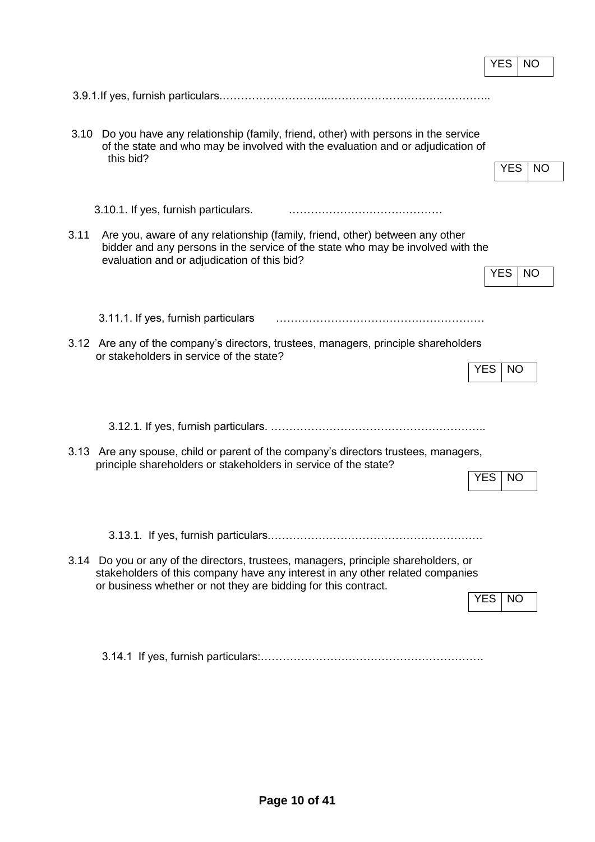|                                                                                                                                                                      |                                                                                                                                                                                                                | <b>YES</b>              | <b>NO</b> |  |
|----------------------------------------------------------------------------------------------------------------------------------------------------------------------|----------------------------------------------------------------------------------------------------------------------------------------------------------------------------------------------------------------|-------------------------|-----------|--|
|                                                                                                                                                                      |                                                                                                                                                                                                                |                         |           |  |
| 3.10                                                                                                                                                                 | Do you have any relationship (family, friend, other) with persons in the service                                                                                                                               |                         |           |  |
|                                                                                                                                                                      | of the state and who may be involved with the evaluation and or adjudication of<br>this bid?                                                                                                                   |                         |           |  |
|                                                                                                                                                                      |                                                                                                                                                                                                                | <b>YES</b>              | <b>NO</b> |  |
|                                                                                                                                                                      | 3.10.1. If yes, furnish particulars.                                                                                                                                                                           |                         |           |  |
| 3.11                                                                                                                                                                 | Are you, aware of any relationship (family, friend, other) between any other<br>bidder and any persons in the service of the state who may be involved with the<br>evaluation and or adjudication of this bid? |                         |           |  |
|                                                                                                                                                                      |                                                                                                                                                                                                                | <b>YES</b>              | <b>NO</b> |  |
|                                                                                                                                                                      | 3.11.1. If yes, furnish particulars                                                                                                                                                                            |                         |           |  |
|                                                                                                                                                                      | 3.12 Are any of the company's directors, trustees, managers, principle shareholders<br>or stakeholders in service of the state?                                                                                |                         |           |  |
|                                                                                                                                                                      |                                                                                                                                                                                                                | <b>YES</b><br><b>NO</b> |           |  |
|                                                                                                                                                                      |                                                                                                                                                                                                                |                         |           |  |
|                                                                                                                                                                      |                                                                                                                                                                                                                |                         |           |  |
|                                                                                                                                                                      | 3.13 Are any spouse, child or parent of the company's directors trustees, managers,<br>principle shareholders or stakeholders in service of the state?                                                         |                         |           |  |
|                                                                                                                                                                      |                                                                                                                                                                                                                | <b>YES</b><br><b>NO</b> |           |  |
|                                                                                                                                                                      |                                                                                                                                                                                                                |                         |           |  |
|                                                                                                                                                                      |                                                                                                                                                                                                                |                         |           |  |
| 3.14 Do you or any of the directors, trustees, managers, principle shareholders, or<br>stakeholders of this company have any interest in any other related companies |                                                                                                                                                                                                                |                         |           |  |
|                                                                                                                                                                      | or business whether or not they are bidding for this contract.                                                                                                                                                 | YES.<br>NO.             |           |  |
|                                                                                                                                                                      |                                                                                                                                                                                                                |                         |           |  |

3.14.1 If yes, furnish particulars:…………………………………………………….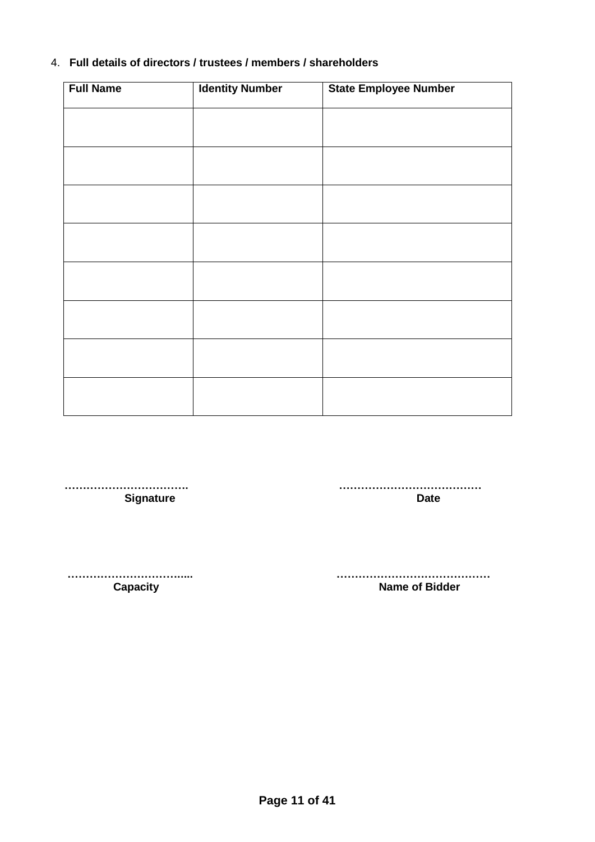## 4. **Full details of directors / trustees / members / shareholders**

| <b>Full Name</b> | <b>Identity Number</b> | <b>State Employee Number</b> |
|------------------|------------------------|------------------------------|
|                  |                        |                              |
|                  |                        |                              |
|                  |                        |                              |
|                  |                        |                              |
|                  |                        |                              |
|                  |                        |                              |
|                  |                        |                              |
|                  |                        |                              |
|                  |                        |                              |
|                  |                        |                              |
|                  |                        |                              |
|                  |                        |                              |
|                  |                        |                              |
|                  |                        |                              |
|                  |                        |                              |

**Signature** 

 **……………………………. …………………………………**

 **…………………………..... …………………………………… Capacity Capacity Capacity Capacity Name of Bidder**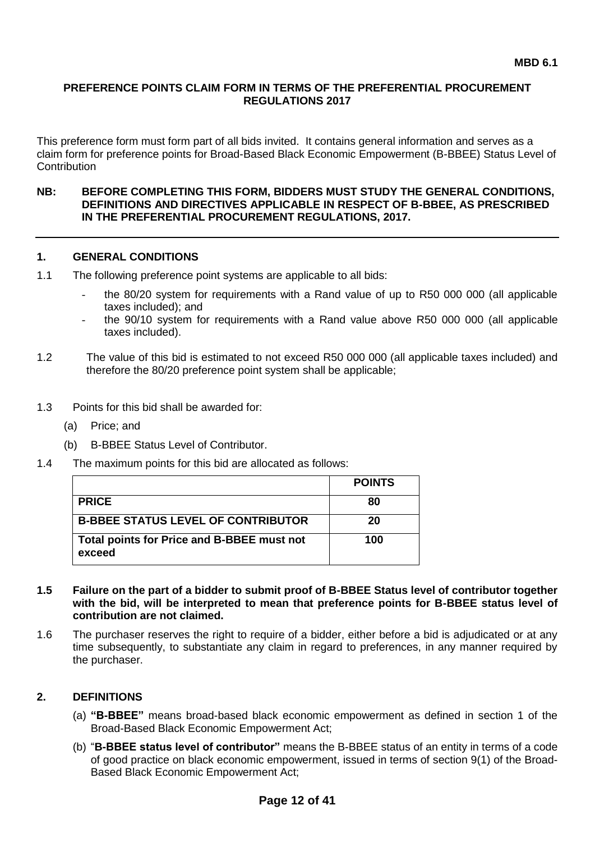## **PREFERENCE POINTS CLAIM FORM IN TERMS OF THE PREFERENTIAL PROCUREMENT REGULATIONS 2017**

This preference form must form part of all bids invited. It contains general information and serves as a claim form for preference points for Broad-Based Black Economic Empowerment (B-BBEE) Status Level of **Contribution** 

#### **NB: BEFORE COMPLETING THIS FORM, BIDDERS MUST STUDY THE GENERAL CONDITIONS, DEFINITIONS AND DIRECTIVES APPLICABLE IN RESPECT OF B-BBEE, AS PRESCRIBED IN THE PREFERENTIAL PROCUREMENT REGULATIONS, 2017.**

### **1. GENERAL CONDITIONS**

- 1.1 The following preference point systems are applicable to all bids:
	- the 80/20 system for requirements with a Rand value of up to R50 000 000 (all applicable taxes included); and
	- the 90/10 system for requirements with a Rand value above R50 000 000 (all applicable taxes included).
- 1.2 The value of this bid is estimated to not exceed R50 000 000 (all applicable taxes included) and therefore the 80/20 preference point system shall be applicable;
- 1.3 Points for this bid shall be awarded for:
	- (a) Price; and
	- (b) B-BBEE Status Level of Contributor.
- 1.4 The maximum points for this bid are allocated as follows:

|                                                      | <b>POINTS</b> |
|------------------------------------------------------|---------------|
| <b>PRICE</b>                                         | 80            |
| <b>B-BBEE STATUS LEVEL OF CONTRIBUTOR</b>            | 20            |
| Total points for Price and B-BBEE must not<br>exceed | 100           |

- **1.5 Failure on the part of a bidder to submit proof of B-BBEE Status level of contributor together with the bid, will be interpreted to mean that preference points for B-BBEE status level of contribution are not claimed.**
- 1.6 The purchaser reserves the right to require of a bidder, either before a bid is adjudicated or at any time subsequently, to substantiate any claim in regard to preferences, in any manner required by the purchaser.

### **2. DEFINITIONS**

- (a) **"B-BBEE"** means broad-based black economic empowerment as defined in section 1 of the Broad-Based Black Economic Empowerment Act;
- (b) "**B-BBEE status level of contributor"** means the B-BBEE status of an entity in terms of a code of good practice on black economic empowerment, issued in terms of section 9(1) of the Broad-Based Black Economic Empowerment Act;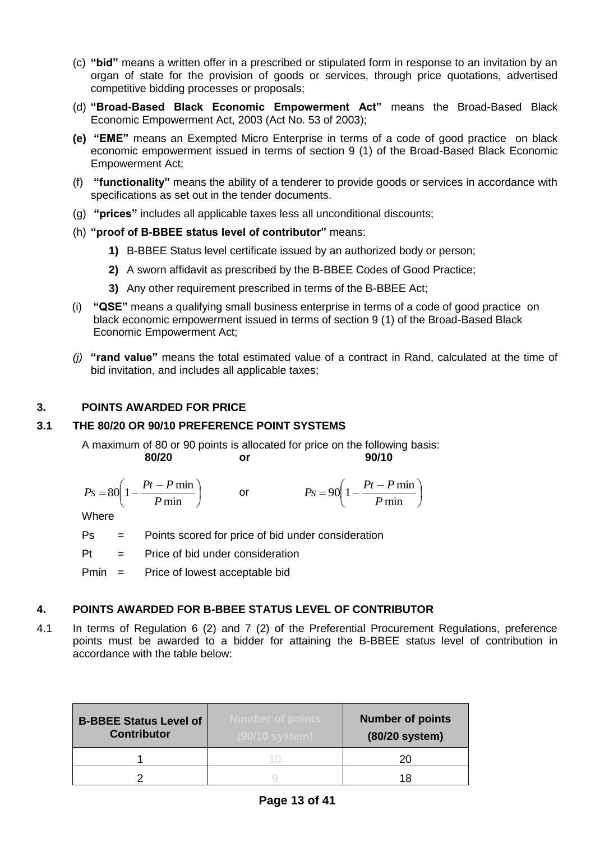- (c) **"bid"** means a written offer in a prescribed or stipulated form in response to an invitation by an organ of state for the provision of goods or services, through price quotations, advertised competitive bidding processes or proposals;
- (d) **"Broad-Based Black Economic Empowerment Act"** means the Broad-Based Black Economic Empowerment Act, 2003 (Act No. 53 of 2003);
- **(e) "EME"** means an Exempted Micro Enterprise in terms of a code of good practice on black economic empowerment issued in terms of section 9 (1) of the Broad-Based Black Economic Empowerment Act;
- (f) **"functionality"** means the ability of a tenderer to provide goods or services in accordance with specifications as set out in the tender documents.
- (g) **"prices"** includes all applicable taxes less all unconditional discounts;
- (h) **"proof of B-BBEE status level of contributor"** means:
	- **1)** B-BBEE Status level certificate issued by an authorized body or person;
	- **2)** A sworn affidavit as prescribed by the B-BBEE Codes of Good Practice;
	- **3)** Any other requirement prescribed in terms of the B-BBEE Act;
- (i) **"QSE"** means a qualifying small business enterprise in terms of a code of good practice on black economic empowerment issued in terms of section 9 (1) of the Broad-Based Black Economic Empowerment Act;
- *(j)* **"rand value"** means the total estimated value of a contract in Rand, calculated at the time of bid invitation, and includes all applicable taxes;

## **3. POINTS AWARDED FOR PRICE**

## **3.1 THE 80/20 OR 90/10 PREFERENCE POINT SYSTEMS**

A maximum of 80 or 90 points is allocated for price on the following basis: **80/20 or 90/10**

$$
Ps = 80 \left( 1 - \frac{Pt - P \min}{P \min} \right) \qquad \text{or} \qquad \qquad Ps = 90 \left( 1 - \frac{Pt - P \min}{P \min} \right)
$$

**Where** 

Ps = Points scored for price of bid under consideration

 $Pt =$  Price of bid under consideration

Pmin = Price of lowest acceptable bid

### **4. POINTS AWARDED FOR B-BBEE STATUS LEVEL OF CONTRIBUTOR**

4.1 In terms of Regulation 6 (2) and 7 (2) of the Preferential Procurement Regulations, preference points must be awarded to a bidder for attaining the B-BBEE status level of contribution in accordance with the table below:

| <b>B-BBEE Status Level of</b><br><b>Contributor</b> | Number of points<br>(90/10 system) | <b>Number of points</b><br>(80/20 system) |
|-----------------------------------------------------|------------------------------------|-------------------------------------------|
|                                                     |                                    | 20                                        |
|                                                     |                                    | 18                                        |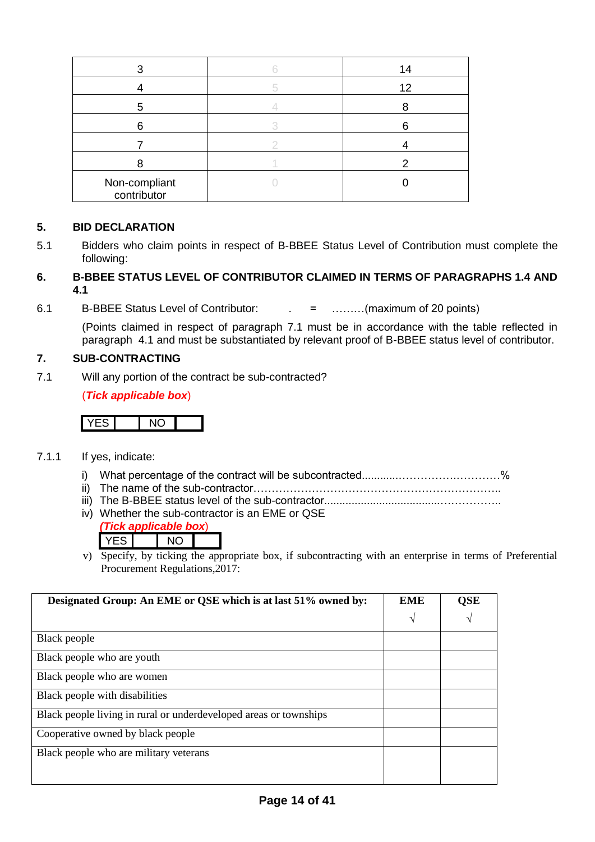|                              | 14 |
|------------------------------|----|
|                              |    |
|                              | 12 |
| h                            |    |
|                              |    |
|                              |    |
|                              |    |
| Non-compliant<br>contributor |    |

## **5. BID DECLARATION**

5.1 Bidders who claim points in respect of B-BBEE Status Level of Contribution must complete the following:

## **6. B-BBEE STATUS LEVEL OF CONTRIBUTOR CLAIMED IN TERMS OF PARAGRAPHS 1.4 AND 4.1**

6.1 B-BBEE Status Level of Contributor: . = ………(maximum of 20 points)

(Points claimed in respect of paragraph 7.1 must be in accordance with the table reflected in paragraph 4.1 and must be substantiated by relevant proof of B-BBEE status level of contributor.

## **7. SUB-CONTRACTING**

7.1 Will any portion of the contract be sub-contracted?

## (*Tick applicable box*)

|--|--|--|

- 7.1.1 If yes, indicate:
	- i) What percentage of the contract will be subcontracted............…………….…………%
	- ii) The name of the sub-contractor…………………………………………………………..
	- iii) The B-BBEE status level of the sub-contractor......................................……………..
	- iv) Whether the sub-contractor is an EME or QSE
		- *(Tick applicable box*)

YES NO

v) Specify, by ticking the appropriate box, if subcontracting with an enterprise in terms of Preferential Procurement Regulations,2017:

| Designated Group: An EME or QSE which is at last 51% owned by:    | <b>EME</b> | <b>QSE</b> |
|-------------------------------------------------------------------|------------|------------|
|                                                                   | $\sqrt{ }$ |            |
| Black people                                                      |            |            |
| Black people who are youth                                        |            |            |
| Black people who are women                                        |            |            |
| Black people with disabilities                                    |            |            |
| Black people living in rural or underdeveloped areas or townships |            |            |
| Cooperative owned by black people                                 |            |            |
| Black people who are military veterans                            |            |            |
|                                                                   |            |            |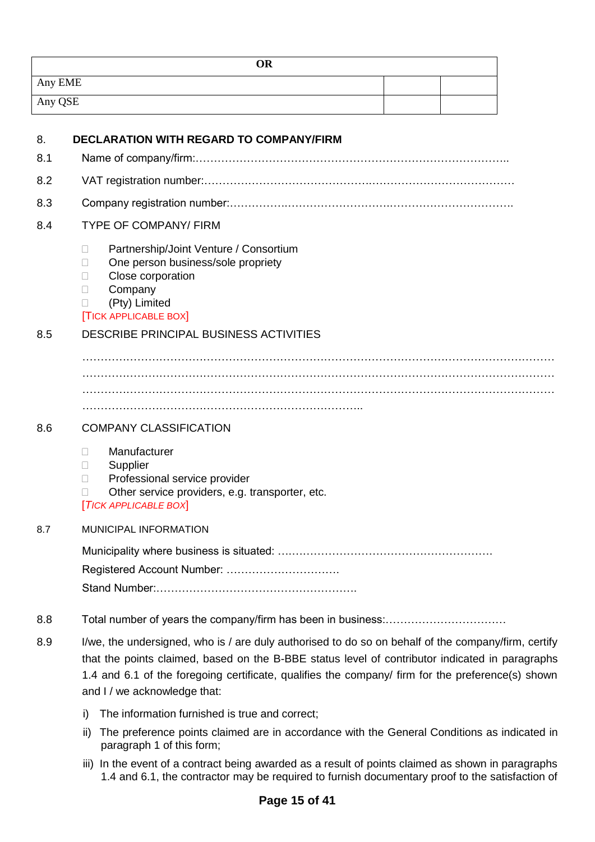| <b>OR</b> |  |
|-----------|--|
| Any EME   |  |
| Any QSE   |  |

| 8.  | <b>DECLARATION WITH REGARD TO COMPANY/FIRM</b>                                                                                                                                                                                                                                                                                              |
|-----|---------------------------------------------------------------------------------------------------------------------------------------------------------------------------------------------------------------------------------------------------------------------------------------------------------------------------------------------|
| 8.1 |                                                                                                                                                                                                                                                                                                                                             |
| 8.2 |                                                                                                                                                                                                                                                                                                                                             |
| 8.3 |                                                                                                                                                                                                                                                                                                                                             |
| 8.4 | <b>TYPE OF COMPANY/ FIRM</b>                                                                                                                                                                                                                                                                                                                |
|     | Partnership/Joint Venture / Consortium<br>П<br>One person business/sole propriety<br>П<br>Close corporation<br>П<br>Company<br>П<br>(Pty) Limited<br>П<br><b>TICK APPLICABLE BOX</b>                                                                                                                                                        |
| 8.5 | DESCRIBE PRINCIPAL BUSINESS ACTIVITIES                                                                                                                                                                                                                                                                                                      |
|     |                                                                                                                                                                                                                                                                                                                                             |
| 8.6 | <b>COMPANY CLASSIFICATION</b>                                                                                                                                                                                                                                                                                                               |
|     | Manufacturer<br>П<br>Supplier<br>$\Box$<br>Professional service provider<br>П<br>Other service providers, e.g. transporter, etc.<br>П<br>[TICK APPLICABLE BOX]                                                                                                                                                                              |
| 8.7 | <b>MUNICIPAL INFORMATION</b>                                                                                                                                                                                                                                                                                                                |
|     | Registered Account Number:                                                                                                                                                                                                                                                                                                                  |
| 8.8 |                                                                                                                                                                                                                                                                                                                                             |
| 8.9 | I/we, the undersigned, who is / are duly authorised to do so on behalf of the company/firm, certify<br>that the points claimed, based on the B-BBE status level of contributor indicated in paragraphs<br>1.4 and 6.1 of the foregoing certificate, qualifies the company/ firm for the preference(s) shown<br>and I / we acknowledge that: |
|     | The information furnished is true and correct;<br>i)                                                                                                                                                                                                                                                                                        |
|     | The preference points claimed are in accordance with the General Conditions as indicated in<br>ii)<br>paragraph 1 of this form;                                                                                                                                                                                                             |
|     | iii) In the event of a contract being awarded as a result of points claimed as shown in paragraphs                                                                                                                                                                                                                                          |

1.4 and 6.1, the contractor may be required to furnish documentary proof to the satisfaction of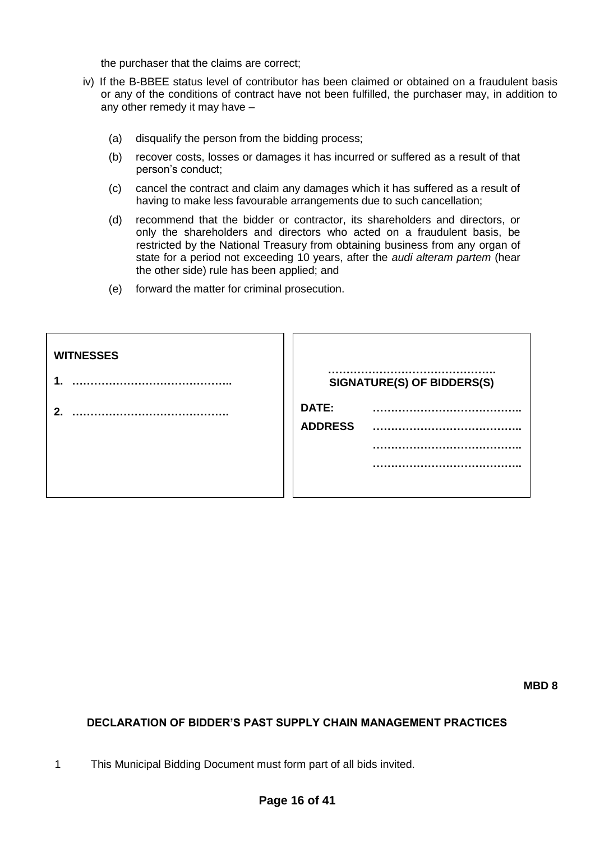the purchaser that the claims are correct;

- iv) If the B-BBEE status level of contributor has been claimed or obtained on a fraudulent basis or any of the conditions of contract have not been fulfilled, the purchaser may, in addition to any other remedy it may have –
	- (a) disqualify the person from the bidding process;
	- (b) recover costs, losses or damages it has incurred or suffered as a result of that person's conduct;
	- (c) cancel the contract and claim any damages which it has suffered as a result of having to make less favourable arrangements due to such cancellation;
	- (d) recommend that the bidder or contractor, its shareholders and directors, or only the shareholders and directors who acted on a fraudulent basis, be restricted by the National Treasury from obtaining business from any organ of state for a period not exceeding 10 years, after the *audi alteram partem* (hear the other side) rule has been applied; and
	- (e) forward the matter for criminal prosecution.

| <b>WITNESSES</b> | SIGNATURE(S) OF BIDDERS(S) |
|------------------|----------------------------|
| າ                | DATE:<br><b>ADDRESS</b>    |

**MBD 8**

## **DECLARATION OF BIDDER'S PAST SUPPLY CHAIN MANAGEMENT PRACTICES**

1 This Municipal Bidding Document must form part of all bids invited.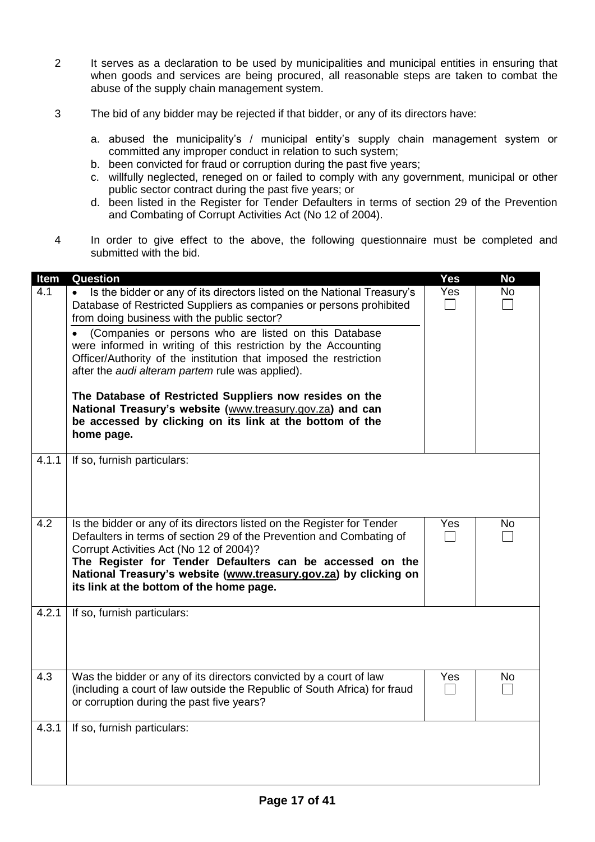- 2 It serves as a declaration to be used by municipalities and municipal entities in ensuring that when goods and services are being procured, all reasonable steps are taken to combat the abuse of the supply chain management system.
- 3 The bid of any bidder may be rejected if that bidder, or any of its directors have:
	- a. abused the municipality's / municipal entity's supply chain management system or committed any improper conduct in relation to such system;
	- b. been convicted for fraud or corruption during the past five years;
	- c. willfully neglected, reneged on or failed to comply with any government, municipal or other public sector contract during the past five years; or
	- d. been listed in the Register for Tender Defaulters in terms of section 29 of the Prevention and Combating of Corrupt Activities Act (No 12 of 2004).
- 4 In order to give effect to the above, the following questionnaire must be completed and submitted with the bid.

| Item  | <b>Question</b>                                                                                                                                                                                                                                                                                                                                                                                                                                                                                                                                                                                                                                           | Yes | <b>No</b> |
|-------|-----------------------------------------------------------------------------------------------------------------------------------------------------------------------------------------------------------------------------------------------------------------------------------------------------------------------------------------------------------------------------------------------------------------------------------------------------------------------------------------------------------------------------------------------------------------------------------------------------------------------------------------------------------|-----|-----------|
| 4.1   | Is the bidder or any of its directors listed on the National Treasury's<br>$\bullet$<br>Database of Restricted Suppliers as companies or persons prohibited<br>from doing business with the public sector?<br>(Companies or persons who are listed on this Database<br>were informed in writing of this restriction by the Accounting<br>Officer/Authority of the institution that imposed the restriction<br>after the <i>audi alteram partem</i> rule was applied).<br>The Database of Restricted Suppliers now resides on the<br>National Treasury's website (www.treasury.gov.za) and can<br>be accessed by clicking on its link at the bottom of the | Yes | <b>No</b> |
|       | home page.                                                                                                                                                                                                                                                                                                                                                                                                                                                                                                                                                                                                                                                |     |           |
| 4.1.1 | If so, furnish particulars:                                                                                                                                                                                                                                                                                                                                                                                                                                                                                                                                                                                                                               |     |           |
| 4.2   | Is the bidder or any of its directors listed on the Register for Tender<br>Defaulters in terms of section 29 of the Prevention and Combating of<br>Corrupt Activities Act (No 12 of 2004)?<br>The Register for Tender Defaulters can be accessed on the<br>National Treasury's website (www.treasury.gov.za) by clicking on<br>its link at the bottom of the home page.                                                                                                                                                                                                                                                                                   | Yes | No        |
| 4.2.1 | If so, furnish particulars:                                                                                                                                                                                                                                                                                                                                                                                                                                                                                                                                                                                                                               |     |           |
| 4.3   | Was the bidder or any of its directors convicted by a court of law<br>(including a court of law outside the Republic of South Africa) for fraud<br>or corruption during the past five years?                                                                                                                                                                                                                                                                                                                                                                                                                                                              | Yes | No        |
| 4.3.1 | If so, furnish particulars:                                                                                                                                                                                                                                                                                                                                                                                                                                                                                                                                                                                                                               |     |           |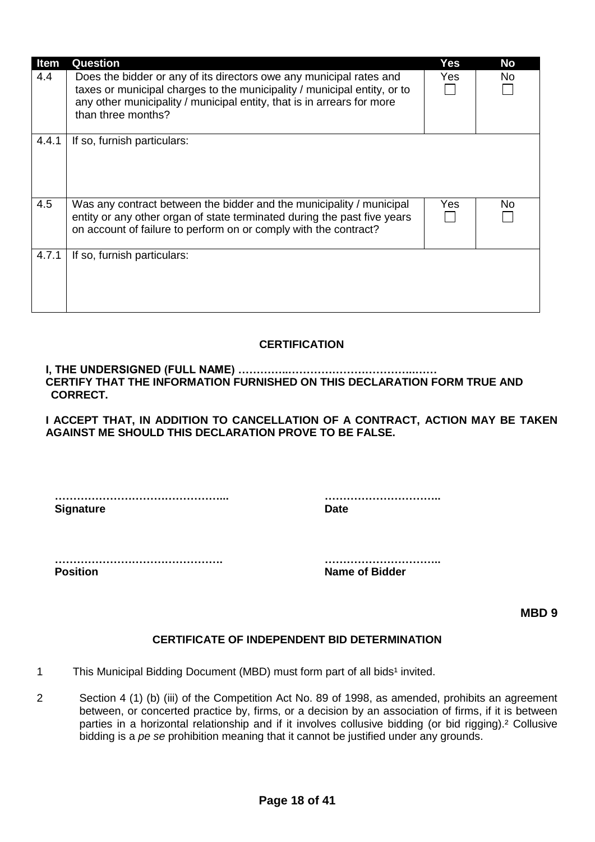| <b>Item</b> | <b>Question</b>                                                                                                                                                                                                                                 | Yes  | <b>No</b> |
|-------------|-------------------------------------------------------------------------------------------------------------------------------------------------------------------------------------------------------------------------------------------------|------|-----------|
| 4.4         | Does the bidder or any of its directors owe any municipal rates and<br>taxes or municipal charges to the municipality / municipal entity, or to<br>any other municipality / municipal entity, that is in arrears for more<br>than three months? | Yes  | No        |
| 4.4.1       | If so, furnish particulars:                                                                                                                                                                                                                     |      |           |
| 4.5         | Was any contract between the bidder and the municipality / municipal<br>entity or any other organ of state terminated during the past five years<br>on account of failure to perform on or comply with the contract?                            | Yes. | No        |
| 4.7.1       | If so, furnish particulars:                                                                                                                                                                                                                     |      |           |

## **CERTIFICATION**

**I, THE UNDERSIGNED (FULL NAME) …………..……………………………..…… CERTIFY THAT THE INFORMATION FURNISHED ON THIS DECLARATION FORM TRUE AND CORRECT.**

**I ACCEPT THAT, IN ADDITION TO CANCELLATION OF A CONTRACT, ACTION MAY BE TAKEN AGAINST ME SHOULD THIS DECLARATION PROVE TO BE FALSE.**

**………………………………………... ………………………….. Signature Date** 

**………………………………………. ………………………….. Position Name of Bidder**

**MBD 9**

### **CERTIFICATE OF INDEPENDENT BID DETERMINATION**

- 1 This Municipal Bidding Document (MBD) must form part of all bids<sup>1</sup> invited.
- 2 Section 4 (1) (b) (iii) of the Competition Act No. 89 of 1998, as amended, prohibits an agreement between, or concerted practice by, firms, or a decision by an association of firms, if it is between parties in a horizontal relationship and if it involves collusive bidding (or bid rigging).² Collusive bidding is a *pe se* prohibition meaning that it cannot be justified under any grounds.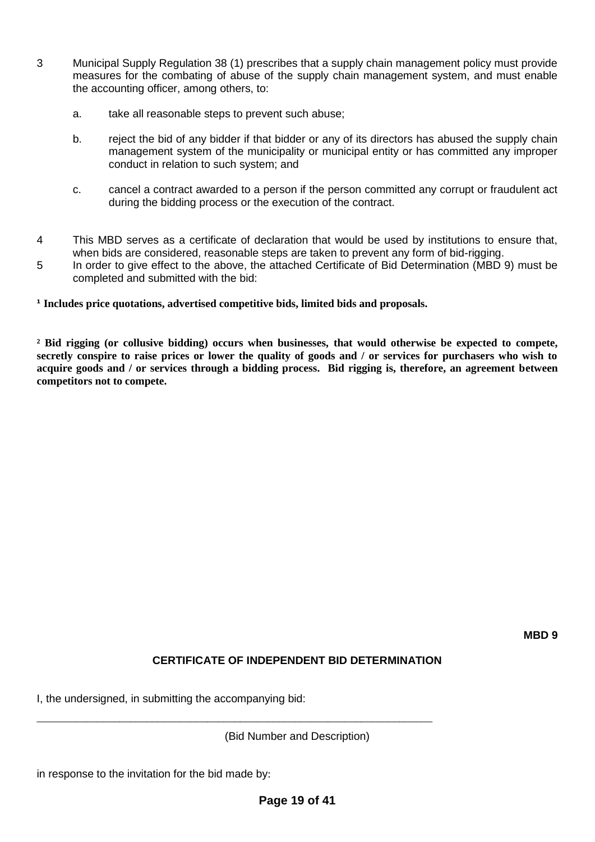- 3 Municipal Supply Regulation 38 (1) prescribes that a supply chain management policy must provide measures for the combating of abuse of the supply chain management system, and must enable the accounting officer, among others, to:
	- a. take all reasonable steps to prevent such abuse;
	- b. reject the bid of any bidder if that bidder or any of its directors has abused the supply chain management system of the municipality or municipal entity or has committed any improper conduct in relation to such system; and
	- c. cancel a contract awarded to a person if the person committed any corrupt or fraudulent act during the bidding process or the execution of the contract.
- 4 This MBD serves as a certificate of declaration that would be used by institutions to ensure that, when bids are considered, reasonable steps are taken to prevent any form of bid-rigging.
- 5 In order to give effect to the above, the attached Certificate of Bid Determination (MBD 9) must be completed and submitted with the bid:

**¹ Includes price quotations, advertised competitive bids, limited bids and proposals.**

**² Bid rigging (or collusive bidding) occurs when businesses, that would otherwise be expected to compete, secretly conspire to raise prices or lower the quality of goods and / or services for purchasers who wish to acquire goods and / or services through a bidding process. Bid rigging is, therefore, an agreement between competitors not to compete.**

# **CERTIFICATE OF INDEPENDENT BID DETERMINATION**

I, the undersigned, in submitting the accompanying bid:

\_\_\_\_\_\_\_\_\_\_\_\_\_\_\_\_\_\_\_\_\_\_\_\_\_\_\_\_\_\_\_\_\_\_\_\_\_\_\_\_\_\_\_\_\_\_\_\_\_\_\_\_\_\_\_\_\_\_\_\_\_\_\_\_\_\_\_\_\_\_\_\_

(Bid Number and Description)

in response to the invitation for the bid made by: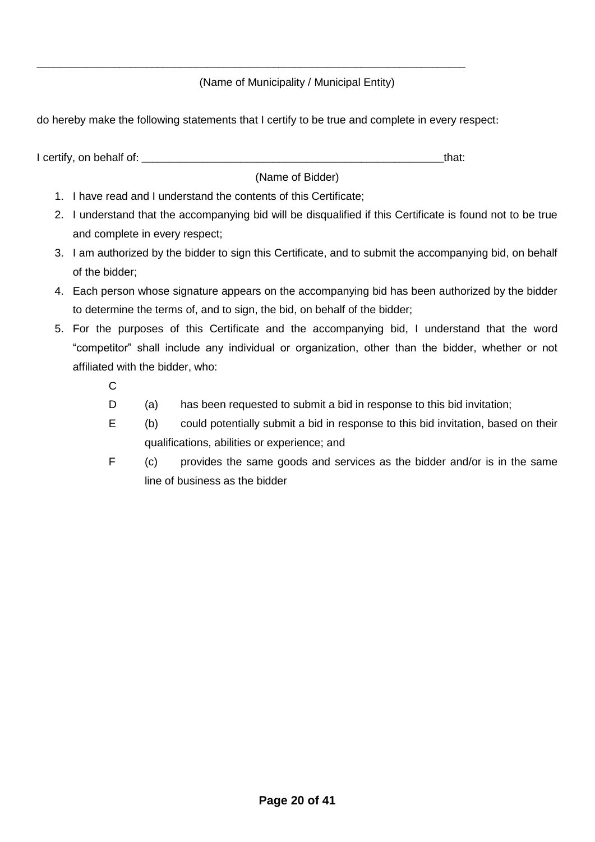## (Name of Municipality / Municipal Entity)

do hereby make the following statements that I certify to be true and complete in every respect:

I certify, on behalf of: that:  $\blacksquare$ 

\_\_\_\_\_\_\_\_\_\_\_\_\_\_\_\_\_\_\_\_\_\_\_\_\_\_\_\_\_\_\_\_\_\_\_\_\_\_\_\_\_\_\_\_\_\_\_\_\_\_\_\_\_\_\_\_\_\_\_\_\_\_\_\_\_\_\_\_\_\_\_\_\_\_\_\_\_\_

(Name of Bidder)

- 1. I have read and I understand the contents of this Certificate;
- 2. I understand that the accompanying bid will be disqualified if this Certificate is found not to be true and complete in every respect;
- 3. I am authorized by the bidder to sign this Certificate, and to submit the accompanying bid, on behalf of the bidder;
- 4. Each person whose signature appears on the accompanying bid has been authorized by the bidder to determine the terms of, and to sign, the bid, on behalf of the bidder;
- 5. For the purposes of this Certificate and the accompanying bid, I understand that the word "competitor" shall include any individual or organization, other than the bidder, whether or not affiliated with the bidder, who:
	- $\mathcal{C}$
	- D (a) has been requested to submit a bid in response to this bid invitation;
	- E (b) could potentially submit a bid in response to this bid invitation, based on their qualifications, abilities or experience; and
	- F (c) provides the same goods and services as the bidder and/or is in the same line of business as the bidder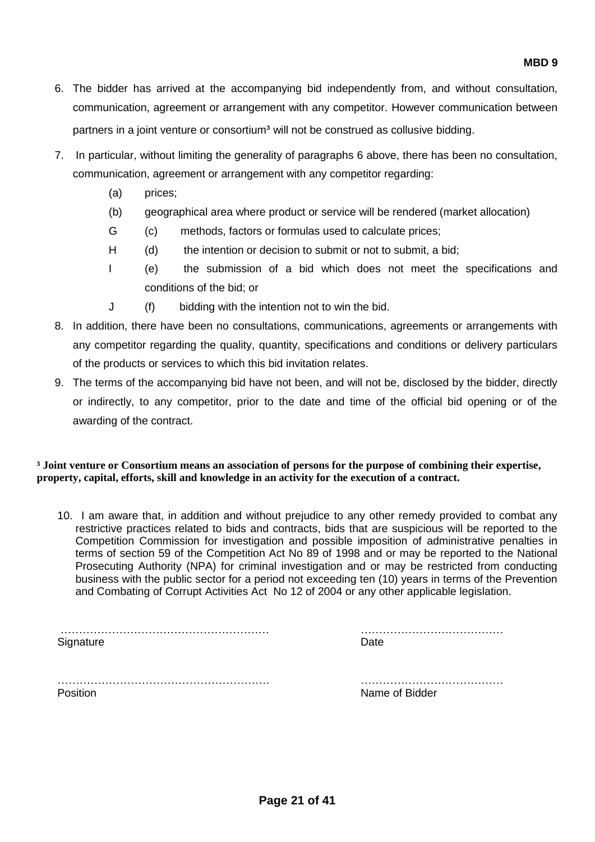- 6. The bidder has arrived at the accompanying bid independently from, and without consultation, communication, agreement or arrangement with any competitor. However communication between partners in a joint venture or consortium<sup>3</sup> will not be construed as collusive bidding.
- 7. In particular, without limiting the generality of paragraphs 6 above, there has been no consultation, communication, agreement or arrangement with any competitor regarding:
	- (a) prices;
	- (b) geographical area where product or service will be rendered (market allocation)
	- G (c) methods, factors or formulas used to calculate prices;
	- H (d) the intention or decision to submit or not to submit, a bid;
	- I (e) the submission of a bid which does not meet the specifications and conditions of the bid; or
	- J (f) bidding with the intention not to win the bid.
- 8. In addition, there have been no consultations, communications, agreements or arrangements with any competitor regarding the quality, quantity, specifications and conditions or delivery particulars of the products or services to which this bid invitation relates.
- 9. The terms of the accompanying bid have not been, and will not be, disclosed by the bidder, directly or indirectly, to any competitor, prior to the date and time of the official bid opening or of the awarding of the contract.

### **³ Joint venture or Consortium means an association of persons for the purpose of combining their expertise, property, capital, efforts, skill and knowledge in an activity for the execution of a contract.**

10. I am aware that, in addition and without prejudice to any other remedy provided to combat any restrictive practices related to bids and contracts, bids that are suspicious will be reported to the Competition Commission for investigation and possible imposition of administrative penalties in terms of section 59 of the Competition Act No 89 of 1998 and or may be reported to the National Prosecuting Authority (NPA) for criminal investigation and or may be restricted from conducting business with the public sector for a period not exceeding ten (10) years in terms of the Prevention and Combating of Corrupt Activities Act No 12 of 2004 or any other applicable legislation.

| Signature |  |  |
|-----------|--|--|
|           |  |  |

…………………………………………………. ………………………………… Position **Name of Bidder** Position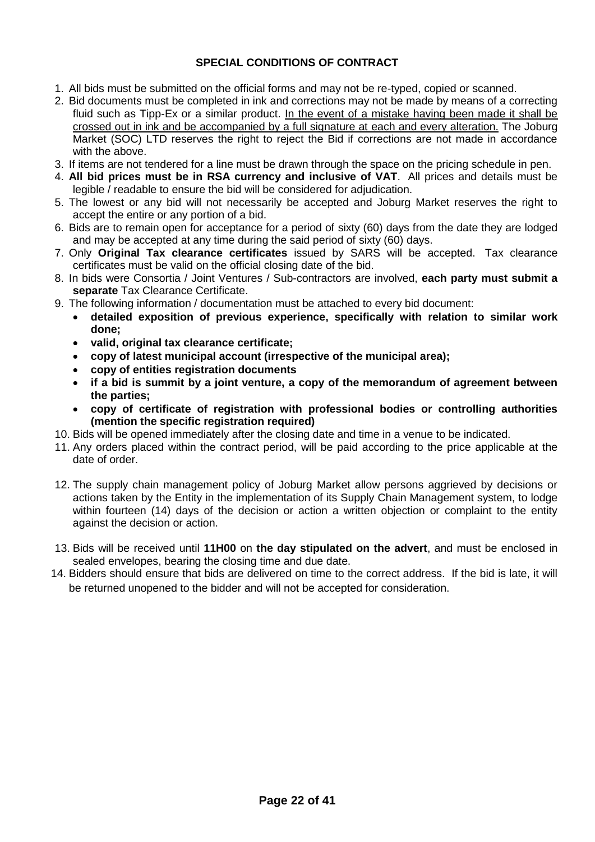## **SPECIAL CONDITIONS OF CONTRACT**

- 1. All bids must be submitted on the official forms and may not be re-typed, copied or scanned.
- 2. Bid documents must be completed in ink and corrections may not be made by means of a correcting fluid such as Tipp-Ex or a similar product. In the event of a mistake having been made it shall be crossed out in ink and be accompanied by a full signature at each and every alteration. The Joburg Market (SOC) LTD reserves the right to reject the Bid if corrections are not made in accordance with the above.
- 3. If items are not tendered for a line must be drawn through the space on the pricing schedule in pen.
- 4. **All bid prices must be in RSA currency and inclusive of VAT**. All prices and details must be legible / readable to ensure the bid will be considered for adjudication.
- 5. The lowest or any bid will not necessarily be accepted and Joburg Market reserves the right to accept the entire or any portion of a bid.
- 6. Bids are to remain open for acceptance for a period of sixty (60) days from the date they are lodged and may be accepted at any time during the said period of sixty (60) days.
- 7. Only **Original Tax clearance certificates** issued by SARS will be accepted. Tax clearance certificates must be valid on the official closing date of the bid.
- 8. In bids were Consortia / Joint Ventures / Sub-contractors are involved, **each party must submit a separate** Tax Clearance Certificate.
- 9. The following information / documentation must be attached to every bid document:
	- **detailed exposition of previous experience, specifically with relation to similar work done;**
	- **valid, original tax clearance certificate;**
	- **copy of latest municipal account (irrespective of the municipal area);**
	- **copy of entities registration documents**
	- **if a bid is summit by a joint venture, a copy of the memorandum of agreement between the parties;**
	- **copy of certificate of registration with professional bodies or controlling authorities (mention the specific registration required)**
- 10. Bids will be opened immediately after the closing date and time in a venue to be indicated.
- 11. Any orders placed within the contract period, will be paid according to the price applicable at the date of order.
- 12. The supply chain management policy of Joburg Market allow persons aggrieved by decisions or actions taken by the Entity in the implementation of its Supply Chain Management system, to lodge within fourteen (14) days of the decision or action a written objection or complaint to the entity against the decision or action.
- 13. Bids will be received until **11H00** on **the day stipulated on the advert**, and must be enclosed in sealed envelopes, bearing the closing time and due date.
- 14. Bidders should ensure that bids are delivered on time to the correct address. If the bid is late, it will be returned unopened to the bidder and will not be accepted for consideration.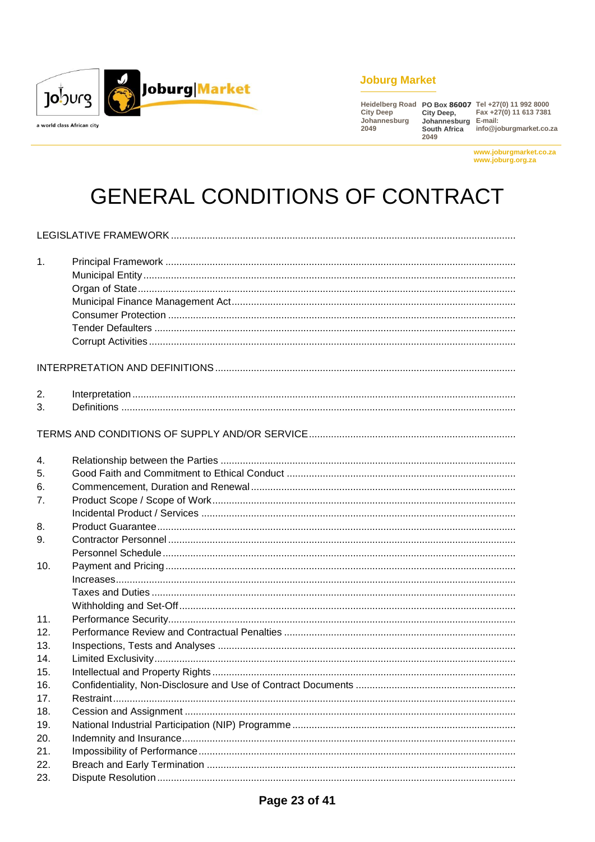

## **Joburg Market**

2049

Heidelberg Road PO Box 86007 Tel +27(0) 11 992 8000<br>City Deep City Deep, Fax +27(0) 11 613 7381<br>Johannesburg Johannesburg E-mail:<br>2049 South Africa info@joburgmarket.co.za

www.joburgmarket.co.za www.joburg.org.za

# **GENERAL CONDITIONS OF CONTRACT**

| 1.  |  |
|-----|--|
|     |  |
| 2.  |  |
| 3.  |  |
|     |  |
| 4.  |  |
| 5.  |  |
| 6.  |  |
| 7.  |  |
|     |  |
| 8.  |  |
| 9.  |  |
|     |  |
| 10. |  |
|     |  |
|     |  |
|     |  |
| 11. |  |
| 12. |  |
| 13. |  |
| 14. |  |
| 15. |  |
| 16. |  |
| 17. |  |
| 18. |  |
| 19. |  |
| 20. |  |
| 21. |  |
| 22. |  |
| 23. |  |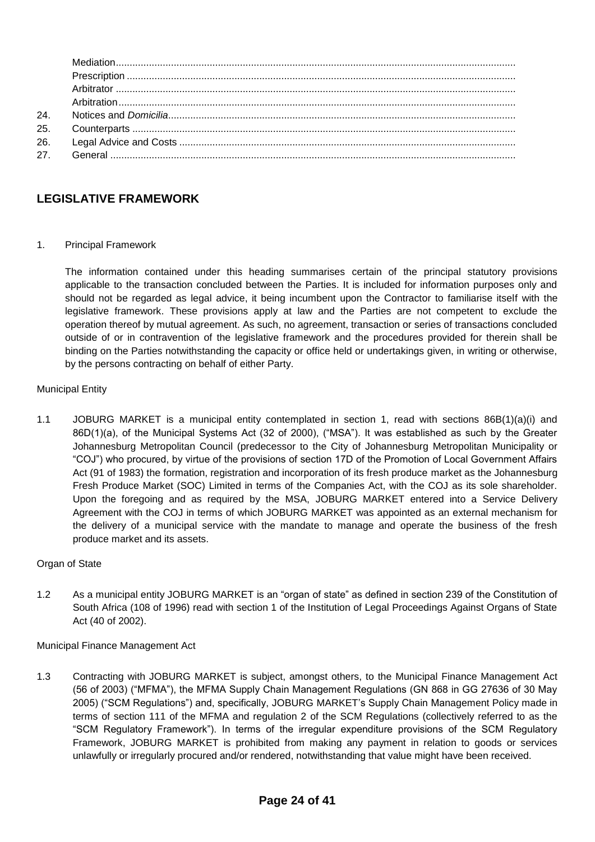| 24. |  |
|-----|--|
| 25. |  |
| 26. |  |
| 27. |  |
|     |  |

## **LEGISLATIVE FRAMEWORK**

1. Principal Framework

The information contained under this heading summarises certain of the principal statutory provisions applicable to the transaction concluded between the Parties. It is included for information purposes only and should not be regarded as legal advice, it being incumbent upon the Contractor to familiarise itself with the legislative framework. These provisions apply at law and the Parties are not competent to exclude the operation thereof by mutual agreement. As such, no agreement, transaction or series of transactions concluded outside of or in contravention of the legislative framework and the procedures provided for therein shall be binding on the Parties notwithstanding the capacity or office held or undertakings given, in writing or otherwise, by the persons contracting on behalf of either Party.

Municipal Entity

1.1 JOBURG MARKET is a municipal entity contemplated in section 1, read with sections 86B(1)(a)(i) and 86D(1)(a), of the Municipal Systems Act (32 of 2000), ("MSA"). It was established as such by the Greater Johannesburg Metropolitan Council (predecessor to the City of Johannesburg Metropolitan Municipality or "COJ") who procured, by virtue of the provisions of section 17D of the Promotion of Local Government Affairs Act (91 of 1983) the formation, registration and incorporation of its fresh produce market as the Johannesburg Fresh Produce Market (SOC) Limited in terms of the Companies Act, with the COJ as its sole shareholder. Upon the foregoing and as required by the MSA, JOBURG MARKET entered into a Service Delivery Agreement with the COJ in terms of which JOBURG MARKET was appointed as an external mechanism for the delivery of a municipal service with the mandate to manage and operate the business of the fresh produce market and its assets.

### Organ of State

1.2 As a municipal entity JOBURG MARKET is an "organ of state" as defined in section 239 of the Constitution of South Africa (108 of 1996) read with section 1 of the Institution of Legal Proceedings Against Organs of State Act (40 of 2002).

Municipal Finance Management Act

1.3 Contracting with JOBURG MARKET is subject, amongst others, to the Municipal Finance Management Act (56 of 2003) ("MFMA"), the MFMA Supply Chain Management Regulations (GN 868 in GG 27636 of 30 May 2005) ("SCM Regulations") and, specifically, JOBURG MARKET's Supply Chain Management Policy made in terms of section 111 of the MFMA and regulation 2 of the SCM Regulations (collectively referred to as the "SCM Regulatory Framework"). In terms of the irregular expenditure provisions of the SCM Regulatory Framework, JOBURG MARKET is prohibited from making any payment in relation to goods or services unlawfully or irregularly procured and/or rendered, notwithstanding that value might have been received.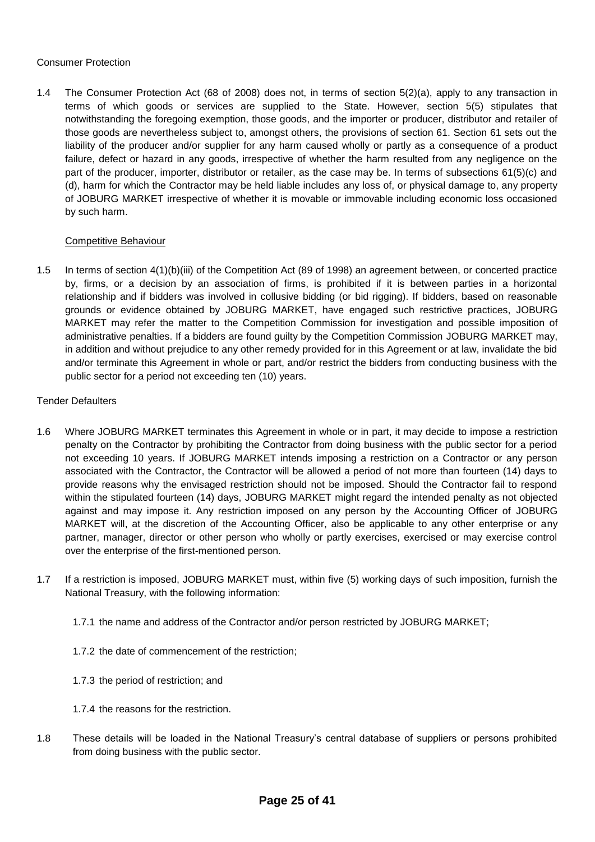#### Consumer Protection

1.4 The Consumer Protection Act (68 of 2008) does not, in terms of section 5(2)(a), apply to any transaction in terms of which goods or services are supplied to the State. However, section 5(5) stipulates that notwithstanding the foregoing exemption, those goods, and the importer or producer, distributor and retailer of those goods are nevertheless subject to, amongst others, the provisions of section 61. Section 61 sets out the liability of the producer and/or supplier for any harm caused wholly or partly as a consequence of a product failure, defect or hazard in any goods, irrespective of whether the harm resulted from any negligence on the part of the producer, importer, distributor or retailer, as the case may be. In terms of subsections 61(5)(c) and (d), harm for which the Contractor may be held liable includes any loss of, or physical damage to, any property of JOBURG MARKET irrespective of whether it is movable or immovable including economic loss occasioned by such harm.

#### Competitive Behaviour

1.5 In terms of section 4(1)(b)(iii) of the Competition Act (89 of 1998) an agreement between, or concerted practice by, firms, or a decision by an association of firms, is prohibited if it is between parties in a horizontal relationship and if bidders was involved in collusive bidding (or bid rigging). If bidders, based on reasonable grounds or evidence obtained by JOBURG MARKET, have engaged such restrictive practices, JOBURG MARKET may refer the matter to the Competition Commission for investigation and possible imposition of administrative penalties. If a bidders are found guilty by the Competition Commission JOBURG MARKET may, in addition and without prejudice to any other remedy provided for in this Agreement or at law, invalidate the bid and/or terminate this Agreement in whole or part, and/or restrict the bidders from conducting business with the public sector for a period not exceeding ten (10) years.

#### Tender Defaulters

- 1.6 Where JOBURG MARKET terminates this Agreement in whole or in part, it may decide to impose a restriction penalty on the Contractor by prohibiting the Contractor from doing business with the public sector for a period not exceeding 10 years. If JOBURG MARKET intends imposing a restriction on a Contractor or any person associated with the Contractor, the Contractor will be allowed a period of not more than fourteen (14) days to provide reasons why the envisaged restriction should not be imposed. Should the Contractor fail to respond within the stipulated fourteen (14) days, JOBURG MARKET might regard the intended penalty as not objected against and may impose it. Any restriction imposed on any person by the Accounting Officer of JOBURG MARKET will, at the discretion of the Accounting Officer, also be applicable to any other enterprise or any partner, manager, director or other person who wholly or partly exercises, exercised or may exercise control over the enterprise of the first-mentioned person.
- 1.7 If a restriction is imposed, JOBURG MARKET must, within five (5) working days of such imposition, furnish the National Treasury, with the following information:
	- 1.7.1 the name and address of the Contractor and/or person restricted by JOBURG MARKET;
	- 1.7.2 the date of commencement of the restriction;
	- 1.7.3 the period of restriction; and
	- 1.7.4 the reasons for the restriction.
- 1.8 These details will be loaded in the National Treasury's central database of suppliers or persons prohibited from doing business with the public sector.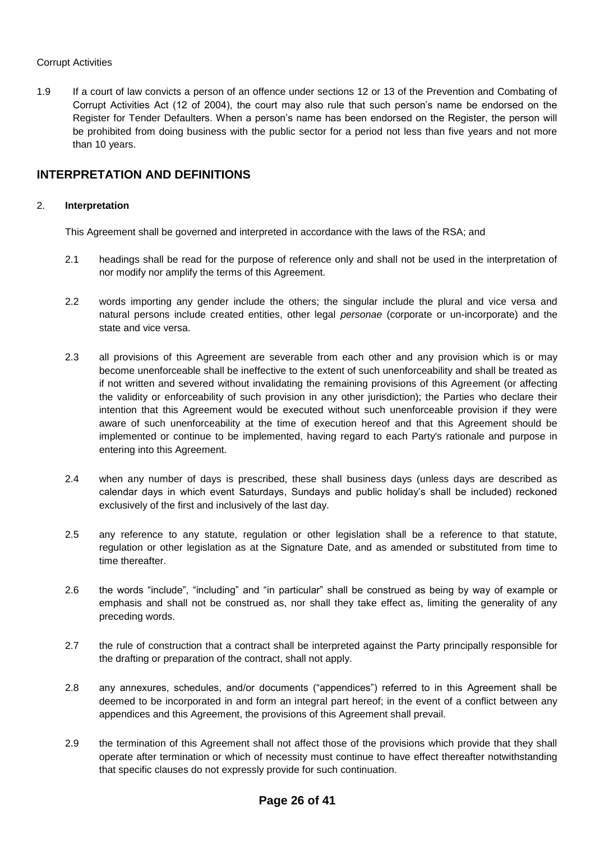#### Corrupt Activities

1.9 If a court of law convicts a person of an offence under sections 12 or 13 of the Prevention and Combating of Corrupt Activities Act (12 of 2004), the court may also rule that such person's name be endorsed on the Register for Tender Defaulters. When a person's name has been endorsed on the Register, the person will be prohibited from doing business with the public sector for a period not less than five years and not more than 10 years.

## **INTERPRETATION AND DEFINITIONS**

#### 2. **Interpretation**

This Agreement shall be governed and interpreted in accordance with the laws of the RSA; and

- 2.1 headings shall be read for the purpose of reference only and shall not be used in the interpretation of nor modify nor amplify the terms of this Agreement.
- 2.2 words importing any gender include the others; the singular include the plural and vice versa and natural persons include created entities, other legal *personae* (corporate or un-incorporate) and the state and vice versa.
- 2.3 all provisions of this Agreement are severable from each other and any provision which is or may become unenforceable shall be ineffective to the extent of such unenforceability and shall be treated as if not written and severed without invalidating the remaining provisions of this Agreement (or affecting the validity or enforceability of such provision in any other jurisdiction); the Parties who declare their intention that this Agreement would be executed without such unenforceable provision if they were aware of such unenforceability at the time of execution hereof and that this Agreement should be implemented or continue to be implemented, having regard to each Party's rationale and purpose in entering into this Agreement.
- 2.4 when any number of days is prescribed, these shall business days (unless days are described as calendar days in which event Saturdays, Sundays and public holiday's shall be included) reckoned exclusively of the first and inclusively of the last day.
- 2.5 any reference to any statute, regulation or other legislation shall be a reference to that statute, regulation or other legislation as at the Signature Date, and as amended or substituted from time to time thereafter.
- 2.6 the words "include", "including" and "in particular" shall be construed as being by way of example or emphasis and shall not be construed as, nor shall they take effect as, limiting the generality of any preceding words.
- 2.7 the rule of construction that a contract shall be interpreted against the Party principally responsible for the drafting or preparation of the contract, shall not apply.
- 2.8 any annexures, schedules, and/or documents ("appendices") referred to in this Agreement shall be deemed to be incorporated in and form an integral part hereof; in the event of a conflict between any appendices and this Agreement, the provisions of this Agreement shall prevail.
- 2.9 the termination of this Agreement shall not affect those of the provisions which provide that they shall operate after termination or which of necessity must continue to have effect thereafter notwithstanding that specific clauses do not expressly provide for such continuation.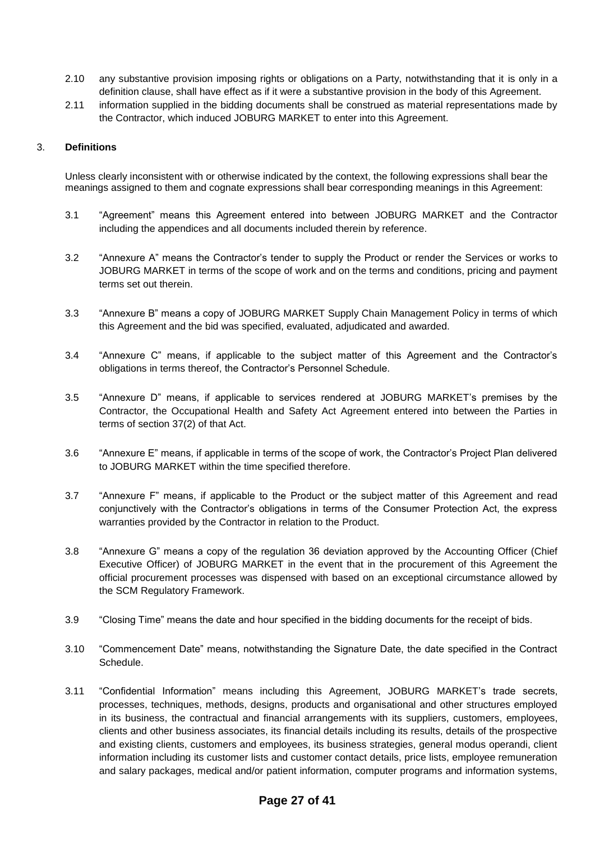- 2.10 any substantive provision imposing rights or obligations on a Party, notwithstanding that it is only in a definition clause, shall have effect as if it were a substantive provision in the body of this Agreement.
- 2.11 information supplied in the bidding documents shall be construed as material representations made by the Contractor, which induced JOBURG MARKET to enter into this Agreement.

#### 3. **Definitions**

Unless clearly inconsistent with or otherwise indicated by the context, the following expressions shall bear the meanings assigned to them and cognate expressions shall bear corresponding meanings in this Agreement:

- 3.1 "Agreement" means this Agreement entered into between JOBURG MARKET and the Contractor including the appendices and all documents included therein by reference.
- 3.2 "Annexure A" means the Contractor's tender to supply the Product or render the Services or works to JOBURG MARKET in terms of the scope of work and on the terms and conditions, pricing and payment terms set out therein.
- 3.3 "Annexure B" means a copy of JOBURG MARKET Supply Chain Management Policy in terms of which this Agreement and the bid was specified, evaluated, adjudicated and awarded.
- 3.4 "Annexure C" means, if applicable to the subject matter of this Agreement and the Contractor's obligations in terms thereof, the Contractor's Personnel Schedule.
- 3.5 "Annexure D" means, if applicable to services rendered at JOBURG MARKET's premises by the Contractor, the Occupational Health and Safety Act Agreement entered into between the Parties in terms of section 37(2) of that Act.
- 3.6 "Annexure E" means, if applicable in terms of the scope of work, the Contractor's Project Plan delivered to JOBURG MARKET within the time specified therefore.
- 3.7 "Annexure F" means, if applicable to the Product or the subject matter of this Agreement and read conjunctively with the Contractor's obligations in terms of the Consumer Protection Act, the express warranties provided by the Contractor in relation to the Product.
- 3.8 "Annexure G" means a copy of the regulation 36 deviation approved by the Accounting Officer (Chief Executive Officer) of JOBURG MARKET in the event that in the procurement of this Agreement the official procurement processes was dispensed with based on an exceptional circumstance allowed by the SCM Regulatory Framework.
- 3.9 "Closing Time" means the date and hour specified in the bidding documents for the receipt of bids.
- 3.10 "Commencement Date" means, notwithstanding the Signature Date, the date specified in the Contract Schedule.
- 3.11 "Confidential Information" means including this Agreement, JOBURG MARKET's trade secrets, processes, techniques, methods, designs, products and organisational and other structures employed in its business, the contractual and financial arrangements with its suppliers, customers, employees, clients and other business associates, its financial details including its results, details of the prospective and existing clients, customers and employees, its business strategies, general modus operandi, client information including its customer lists and customer contact details, price lists, employee remuneration and salary packages, medical and/or patient information, computer programs and information systems,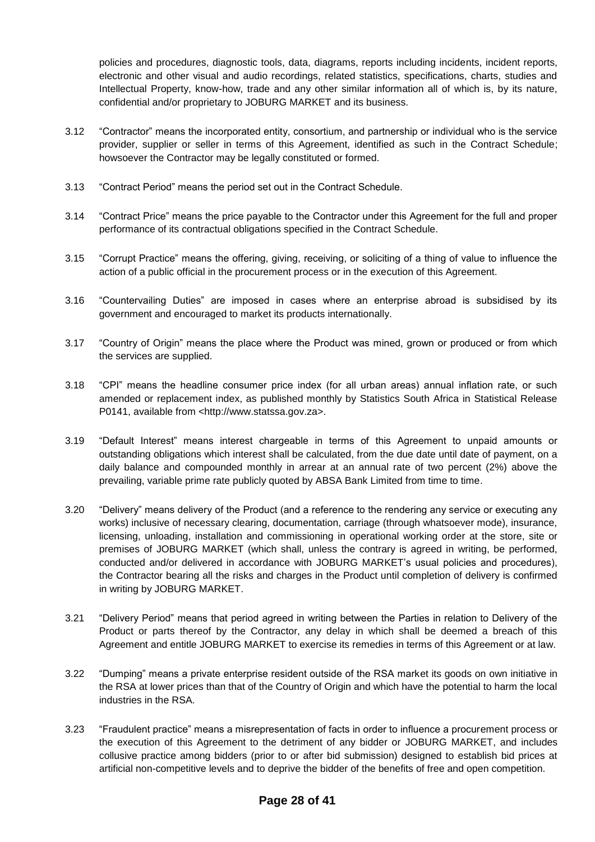policies and procedures, diagnostic tools, data, diagrams, reports including incidents, incident reports, electronic and other visual and audio recordings, related statistics, specifications, charts, studies and Intellectual Property, know-how, trade and any other similar information all of which is, by its nature, confidential and/or proprietary to JOBURG MARKET and its business.

- 3.12 "Contractor" means the incorporated entity, consortium, and partnership or individual who is the service provider, supplier or seller in terms of this Agreement, identified as such in the Contract Schedule; howsoever the Contractor may be legally constituted or formed.
- 3.13 "Contract Period" means the period set out in the Contract Schedule.
- 3.14 "Contract Price" means the price payable to the Contractor under this Agreement for the full and proper performance of its contractual obligations specified in the Contract Schedule.
- 3.15 "Corrupt Practice" means the offering, giving, receiving, or soliciting of a thing of value to influence the action of a public official in the procurement process or in the execution of this Agreement.
- 3.16 "Countervailing Duties" are imposed in cases where an enterprise abroad is subsidised by its government and encouraged to market its products internationally.
- 3.17 "Country of Origin" means the place where the Product was mined, grown or produced or from which the services are supplied.
- 3.18 "CPI" means the headline consumer price index (for all urban areas) annual inflation rate, or such amended or replacement index, as published monthly by Statistics South Africa in Statistical Release P0141, available from <http://www.statssa.gov.za>.
- 3.19 "Default Interest" means interest chargeable in terms of this Agreement to unpaid amounts or outstanding obligations which interest shall be calculated, from the due date until date of payment, on a daily balance and compounded monthly in arrear at an annual rate of two percent (2%) above the prevailing, variable prime rate publicly quoted by ABSA Bank Limited from time to time.
- 3.20 "Delivery" means delivery of the Product (and a reference to the rendering any service or executing any works) inclusive of necessary clearing, documentation, carriage (through whatsoever mode), insurance, licensing, unloading, installation and commissioning in operational working order at the store, site or premises of JOBURG MARKET (which shall, unless the contrary is agreed in writing, be performed, conducted and/or delivered in accordance with JOBURG MARKET's usual policies and procedures), the Contractor bearing all the risks and charges in the Product until completion of delivery is confirmed in writing by JOBURG MARKET.
- 3.21 "Delivery Period" means that period agreed in writing between the Parties in relation to Delivery of the Product or parts thereof by the Contractor, any delay in which shall be deemed a breach of this Agreement and entitle JOBURG MARKET to exercise its remedies in terms of this Agreement or at law.
- 3.22 "Dumping" means a private enterprise resident outside of the RSA market its goods on own initiative in the RSA at lower prices than that of the Country of Origin and which have the potential to harm the local industries in the RSA.
- 3.23 "Fraudulent practice" means a misrepresentation of facts in order to influence a procurement process or the execution of this Agreement to the detriment of any bidder or JOBURG MARKET, and includes collusive practice among bidders (prior to or after bid submission) designed to establish bid prices at artificial non-competitive levels and to deprive the bidder of the benefits of free and open competition.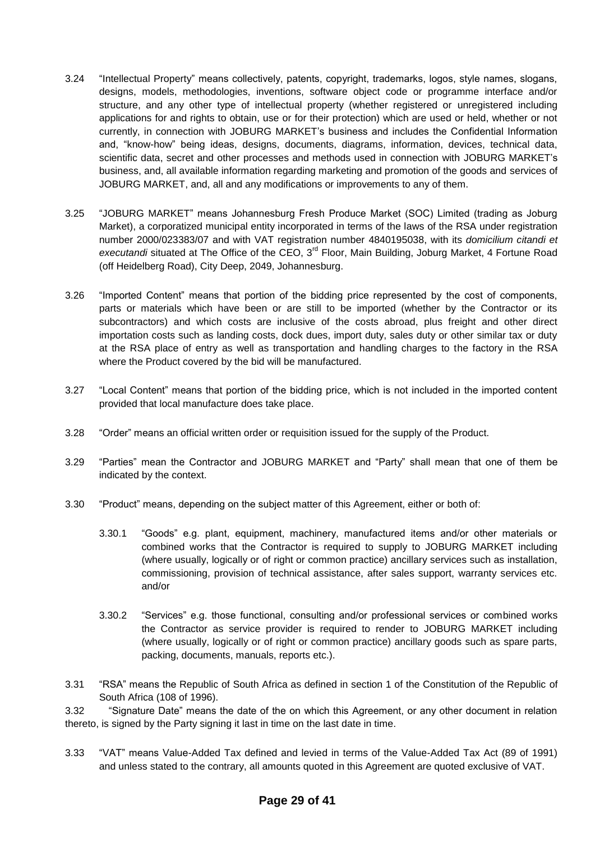- 3.24 "Intellectual Property" means collectively, patents, copyright, trademarks, logos, style names, slogans, designs, models, methodologies, inventions, software object code or programme interface and/or structure, and any other type of intellectual property (whether registered or unregistered including applications for and rights to obtain, use or for their protection) which are used or held, whether or not currently, in connection with JOBURG MARKET's business and includes the Confidential Information and, "know-how" being ideas, designs, documents, diagrams, information, devices, technical data, scientific data, secret and other processes and methods used in connection with JOBURG MARKET's business, and, all available information regarding marketing and promotion of the goods and services of JOBURG MARKET, and, all and any modifications or improvements to any of them.
- 3.25 "JOBURG MARKET" means Johannesburg Fresh Produce Market (SOC) Limited (trading as Joburg Market), a corporatized municipal entity incorporated in terms of the laws of the RSA under registration number 2000/023383/07 and with VAT registration number 4840195038, with its *domicilium citandi et*  executandi situated at The Office of the CEO, 3<sup>rd</sup> Floor, Main Building, Joburg Market, 4 Fortune Road (off Heidelberg Road), City Deep, 2049, Johannesburg.
- 3.26 "Imported Content" means that portion of the bidding price represented by the cost of components, parts or materials which have been or are still to be imported (whether by the Contractor or its subcontractors) and which costs are inclusive of the costs abroad, plus freight and other direct importation costs such as landing costs, dock dues, import duty, sales duty or other similar tax or duty at the RSA place of entry as well as transportation and handling charges to the factory in the RSA where the Product covered by the bid will be manufactured.
- 3.27 "Local Content" means that portion of the bidding price, which is not included in the imported content provided that local manufacture does take place.
- 3.28 "Order" means an official written order or requisition issued for the supply of the Product.
- 3.29 "Parties" mean the Contractor and JOBURG MARKET and "Party" shall mean that one of them be indicated by the context.
- 3.30 "Product" means, depending on the subject matter of this Agreement, either or both of:
	- 3.30.1 "Goods" e.g. plant, equipment, machinery, manufactured items and/or other materials or combined works that the Contractor is required to supply to JOBURG MARKET including (where usually, logically or of right or common practice) ancillary services such as installation, commissioning, provision of technical assistance, after sales support, warranty services etc. and/or
	- 3.30.2 "Services" e.g. those functional, consulting and/or professional services or combined works the Contractor as service provider is required to render to JOBURG MARKET including (where usually, logically or of right or common practice) ancillary goods such as spare parts, packing, documents, manuals, reports etc.).
- 3.31 "RSA" means the Republic of South Africa as defined in section 1 of the Constitution of the Republic of South Africa (108 of 1996).

3.32 "Signature Date" means the date of the on which this Agreement, or any other document in relation thereto, is signed by the Party signing it last in time on the last date in time.

3.33 "VAT" means Value-Added Tax defined and levied in terms of the Value-Added Tax Act (89 of 1991) and unless stated to the contrary, all amounts quoted in this Agreement are quoted exclusive of VAT.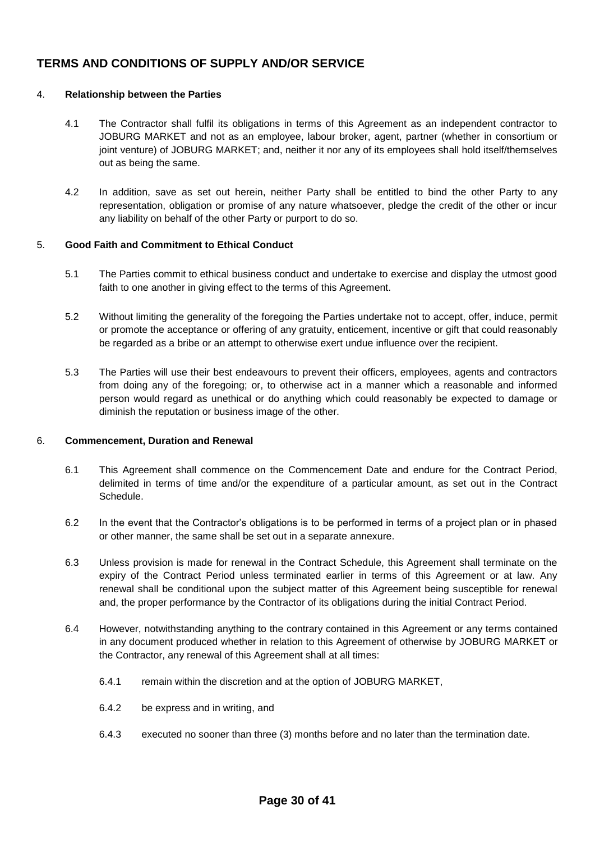## **TERMS AND CONDITIONS OF SUPPLY AND/OR SERVICE**

#### 4. **Relationship between the Parties**

- 4.1 The Contractor shall fulfil its obligations in terms of this Agreement as an independent contractor to JOBURG MARKET and not as an employee, labour broker, agent, partner (whether in consortium or joint venture) of JOBURG MARKET; and, neither it nor any of its employees shall hold itself/themselves out as being the same.
- 4.2 In addition, save as set out herein, neither Party shall be entitled to bind the other Party to any representation, obligation or promise of any nature whatsoever, pledge the credit of the other or incur any liability on behalf of the other Party or purport to do so.

#### 5. **Good Faith and Commitment to Ethical Conduct**

- 5.1 The Parties commit to ethical business conduct and undertake to exercise and display the utmost good faith to one another in giving effect to the terms of this Agreement.
- 5.2 Without limiting the generality of the foregoing the Parties undertake not to accept, offer, induce, permit or promote the acceptance or offering of any gratuity, enticement, incentive or gift that could reasonably be regarded as a bribe or an attempt to otherwise exert undue influence over the recipient.
- 5.3 The Parties will use their best endeavours to prevent their officers, employees, agents and contractors from doing any of the foregoing; or, to otherwise act in a manner which a reasonable and informed person would regard as unethical or do anything which could reasonably be expected to damage or diminish the reputation or business image of the other.

#### 6. **Commencement, Duration and Renewal**

- 6.1 This Agreement shall commence on the Commencement Date and endure for the Contract Period, delimited in terms of time and/or the expenditure of a particular amount, as set out in the Contract Schedule.
- 6.2 In the event that the Contractor's obligations is to be performed in terms of a project plan or in phased or other manner, the same shall be set out in a separate annexure.
- 6.3 Unless provision is made for renewal in the Contract Schedule, this Agreement shall terminate on the expiry of the Contract Period unless terminated earlier in terms of this Agreement or at law. Any renewal shall be conditional upon the subject matter of this Agreement being susceptible for renewal and, the proper performance by the Contractor of its obligations during the initial Contract Period.
- 6.4 However, notwithstanding anything to the contrary contained in this Agreement or any terms contained in any document produced whether in relation to this Agreement of otherwise by JOBURG MARKET or the Contractor, any renewal of this Agreement shall at all times:
	- 6.4.1 remain within the discretion and at the option of JOBURG MARKET,
	- 6.4.2 be express and in writing, and
	- 6.4.3 executed no sooner than three (3) months before and no later than the termination date.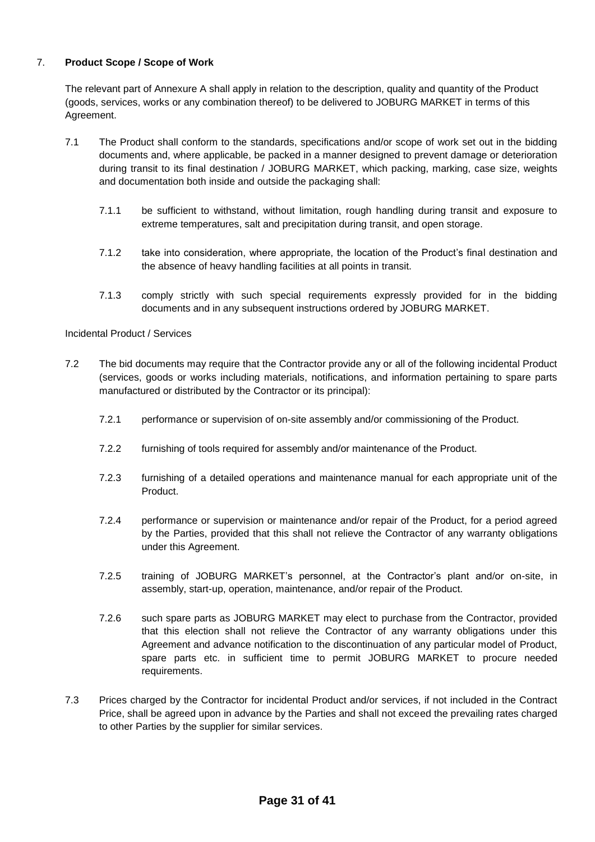#### 7. **Product Scope / Scope of Work**

The relevant part of Annexure A shall apply in relation to the description, quality and quantity of the Product (goods, services, works or any combination thereof) to be delivered to JOBURG MARKET in terms of this Agreement.

- 7.1 The Product shall conform to the standards, specifications and/or scope of work set out in the bidding documents and, where applicable, be packed in a manner designed to prevent damage or deterioration during transit to its final destination / JOBURG MARKET, which packing, marking, case size, weights and documentation both inside and outside the packaging shall:
	- 7.1.1 be sufficient to withstand, without limitation, rough handling during transit and exposure to extreme temperatures, salt and precipitation during transit, and open storage.
	- 7.1.2 take into consideration, where appropriate, the location of the Product's final destination and the absence of heavy handling facilities at all points in transit.
	- 7.1.3 comply strictly with such special requirements expressly provided for in the bidding documents and in any subsequent instructions ordered by JOBURG MARKET.

Incidental Product / Services

- 7.2 The bid documents may require that the Contractor provide any or all of the following incidental Product (services, goods or works including materials, notifications, and information pertaining to spare parts manufactured or distributed by the Contractor or its principal):
	- 7.2.1 performance or supervision of on-site assembly and/or commissioning of the Product.
	- 7.2.2 furnishing of tools required for assembly and/or maintenance of the Product.
	- 7.2.3 furnishing of a detailed operations and maintenance manual for each appropriate unit of the Product.
	- 7.2.4 performance or supervision or maintenance and/or repair of the Product, for a period agreed by the Parties, provided that this shall not relieve the Contractor of any warranty obligations under this Agreement.
	- 7.2.5 training of JOBURG MARKET's personnel, at the Contractor's plant and/or on-site, in assembly, start-up, operation, maintenance, and/or repair of the Product.
	- 7.2.6 such spare parts as JOBURG MARKET may elect to purchase from the Contractor, provided that this election shall not relieve the Contractor of any warranty obligations under this Agreement and advance notification to the discontinuation of any particular model of Product, spare parts etc. in sufficient time to permit JOBURG MARKET to procure needed requirements.
- 7.3 Prices charged by the Contractor for incidental Product and/or services, if not included in the Contract Price, shall be agreed upon in advance by the Parties and shall not exceed the prevailing rates charged to other Parties by the supplier for similar services.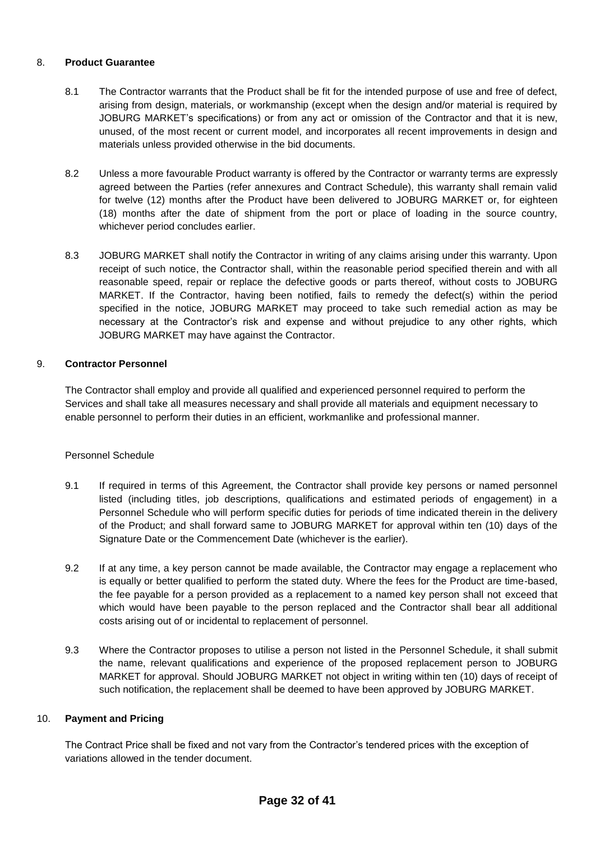#### 8. **Product Guarantee**

- 8.1 The Contractor warrants that the Product shall be fit for the intended purpose of use and free of defect, arising from design, materials, or workmanship (except when the design and/or material is required by JOBURG MARKET's specifications) or from any act or omission of the Contractor and that it is new, unused, of the most recent or current model, and incorporates all recent improvements in design and materials unless provided otherwise in the bid documents.
- 8.2 Unless a more favourable Product warranty is offered by the Contractor or warranty terms are expressly agreed between the Parties (refer annexures and Contract Schedule), this warranty shall remain valid for twelve (12) months after the Product have been delivered to JOBURG MARKET or, for eighteen (18) months after the date of shipment from the port or place of loading in the source country, whichever period concludes earlier.
- 8.3 JOBURG MARKET shall notify the Contractor in writing of any claims arising under this warranty. Upon receipt of such notice, the Contractor shall, within the reasonable period specified therein and with all reasonable speed, repair or replace the defective goods or parts thereof, without costs to JOBURG MARKET. If the Contractor, having been notified, fails to remedy the defect(s) within the period specified in the notice, JOBURG MARKET may proceed to take such remedial action as may be necessary at the Contractor's risk and expense and without prejudice to any other rights, which JOBURG MARKET may have against the Contractor.

### 9. **Contractor Personnel**

The Contractor shall employ and provide all qualified and experienced personnel required to perform the Services and shall take all measures necessary and shall provide all materials and equipment necessary to enable personnel to perform their duties in an efficient, workmanlike and professional manner.

#### Personnel Schedule

- 9.1 If required in terms of this Agreement, the Contractor shall provide key persons or named personnel listed (including titles, job descriptions, qualifications and estimated periods of engagement) in a Personnel Schedule who will perform specific duties for periods of time indicated therein in the delivery of the Product; and shall forward same to JOBURG MARKET for approval within ten (10) days of the Signature Date or the Commencement Date (whichever is the earlier).
- 9.2 If at any time, a key person cannot be made available, the Contractor may engage a replacement who is equally or better qualified to perform the stated duty. Where the fees for the Product are time-based, the fee payable for a person provided as a replacement to a named key person shall not exceed that which would have been payable to the person replaced and the Contractor shall bear all additional costs arising out of or incidental to replacement of personnel.
- 9.3 Where the Contractor proposes to utilise a person not listed in the Personnel Schedule, it shall submit the name, relevant qualifications and experience of the proposed replacement person to JOBURG MARKET for approval. Should JOBURG MARKET not object in writing within ten (10) days of receipt of such notification, the replacement shall be deemed to have been approved by JOBURG MARKET.

#### 10. **Payment and Pricing**

The Contract Price shall be fixed and not vary from the Contractor's tendered prices with the exception of variations allowed in the tender document.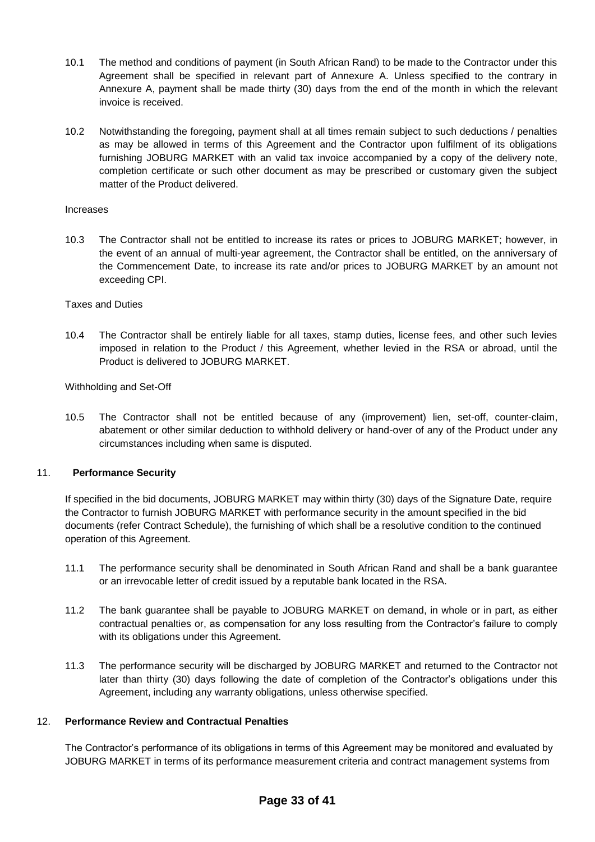- 10.1 The method and conditions of payment (in South African Rand) to be made to the Contractor under this Agreement shall be specified in relevant part of Annexure A. Unless specified to the contrary in Annexure A, payment shall be made thirty (30) days from the end of the month in which the relevant invoice is received.
- 10.2 Notwithstanding the foregoing, payment shall at all times remain subject to such deductions / penalties as may be allowed in terms of this Agreement and the Contractor upon fulfilment of its obligations furnishing JOBURG MARKET with an valid tax invoice accompanied by a copy of the delivery note, completion certificate or such other document as may be prescribed or customary given the subject matter of the Product delivered.

#### Increases

10.3 The Contractor shall not be entitled to increase its rates or prices to JOBURG MARKET; however, in the event of an annual of multi-year agreement, the Contractor shall be entitled, on the anniversary of the Commencement Date, to increase its rate and/or prices to JOBURG MARKET by an amount not exceeding CPI.

#### Taxes and Duties

10.4 The Contractor shall be entirely liable for all taxes, stamp duties, license fees, and other such levies imposed in relation to the Product / this Agreement, whether levied in the RSA or abroad, until the Product is delivered to JOBURG MARKET.

Withholding and Set-Off

10.5 The Contractor shall not be entitled because of any (improvement) lien, set-off, counter-claim, abatement or other similar deduction to withhold delivery or hand-over of any of the Product under any circumstances including when same is disputed.

#### 11. **Performance Security**

If specified in the bid documents, JOBURG MARKET may within thirty (30) days of the Signature Date, require the Contractor to furnish JOBURG MARKET with performance security in the amount specified in the bid documents (refer Contract Schedule), the furnishing of which shall be a resolutive condition to the continued operation of this Agreement.

- 11.1 The performance security shall be denominated in South African Rand and shall be a bank guarantee or an irrevocable letter of credit issued by a reputable bank located in the RSA.
- 11.2 The bank guarantee shall be payable to JOBURG MARKET on demand, in whole or in part, as either contractual penalties or, as compensation for any loss resulting from the Contractor's failure to comply with its obligations under this Agreement.
- 11.3 The performance security will be discharged by JOBURG MARKET and returned to the Contractor not later than thirty (30) days following the date of completion of the Contractor's obligations under this Agreement, including any warranty obligations, unless otherwise specified.

#### 12. **Performance Review and Contractual Penalties**

The Contractor's performance of its obligations in terms of this Agreement may be monitored and evaluated by JOBURG MARKET in terms of its performance measurement criteria and contract management systems from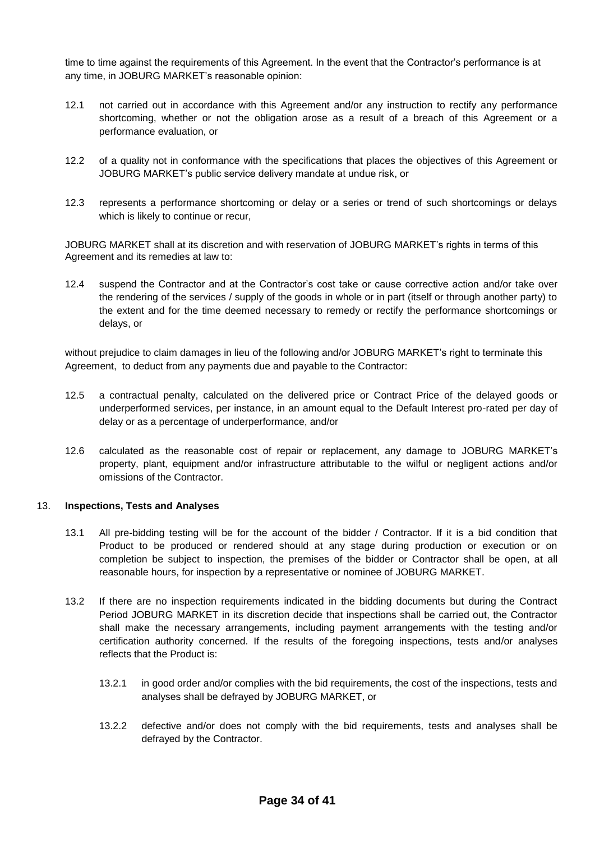time to time against the requirements of this Agreement. In the event that the Contractor's performance is at any time, in JOBURG MARKET's reasonable opinion:

- 12.1 not carried out in accordance with this Agreement and/or any instruction to rectify any performance shortcoming, whether or not the obligation arose as a result of a breach of this Agreement or a performance evaluation, or
- 12.2 of a quality not in conformance with the specifications that places the objectives of this Agreement or JOBURG MARKET's public service delivery mandate at undue risk, or
- 12.3 represents a performance shortcoming or delay or a series or trend of such shortcomings or delays which is likely to continue or recur,

JOBURG MARKET shall at its discretion and with reservation of JOBURG MARKET's rights in terms of this Agreement and its remedies at law to:

12.4 suspend the Contractor and at the Contractor's cost take or cause corrective action and/or take over the rendering of the services / supply of the goods in whole or in part (itself or through another party) to the extent and for the time deemed necessary to remedy or rectify the performance shortcomings or delays, or

without prejudice to claim damages in lieu of the following and/or JOBURG MARKET's right to terminate this Agreement, to deduct from any payments due and payable to the Contractor:

- 12.5 a contractual penalty, calculated on the delivered price or Contract Price of the delayed goods or underperformed services, per instance, in an amount equal to the Default Interest pro-rated per day of delay or as a percentage of underperformance, and/or
- 12.6 calculated as the reasonable cost of repair or replacement, any damage to JOBURG MARKET's property, plant, equipment and/or infrastructure attributable to the wilful or negligent actions and/or omissions of the Contractor.

#### 13. **Inspections, Tests and Analyses**

- 13.1 All pre-bidding testing will be for the account of the bidder / Contractor. If it is a bid condition that Product to be produced or rendered should at any stage during production or execution or on completion be subject to inspection, the premises of the bidder or Contractor shall be open, at all reasonable hours, for inspection by a representative or nominee of JOBURG MARKET.
- 13.2 If there are no inspection requirements indicated in the bidding documents but during the Contract Period JOBURG MARKET in its discretion decide that inspections shall be carried out, the Contractor shall make the necessary arrangements, including payment arrangements with the testing and/or certification authority concerned. If the results of the foregoing inspections, tests and/or analyses reflects that the Product is:
	- 13.2.1 in good order and/or complies with the bid requirements, the cost of the inspections, tests and analyses shall be defrayed by JOBURG MARKET, or
	- 13.2.2 defective and/or does not comply with the bid requirements, tests and analyses shall be defrayed by the Contractor.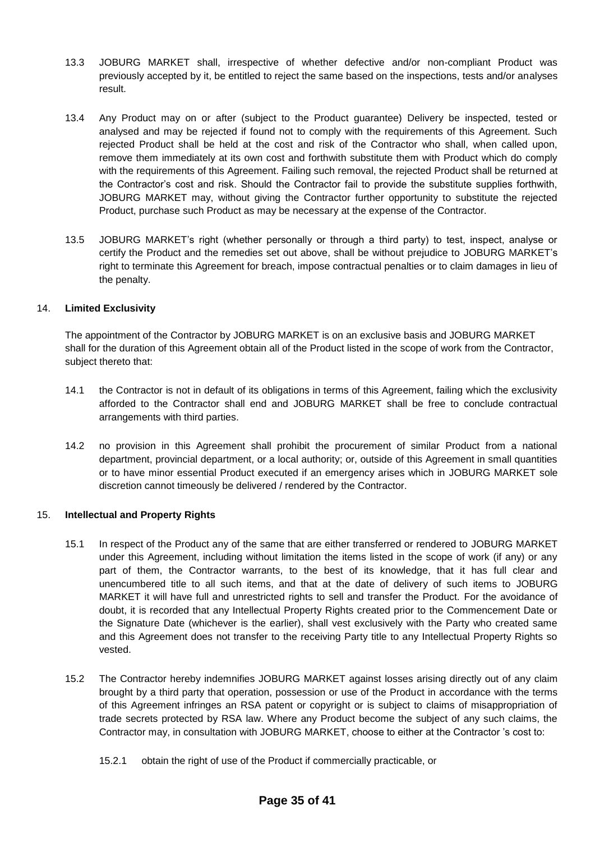- 13.3 JOBURG MARKET shall, irrespective of whether defective and/or non-compliant Product was previously accepted by it, be entitled to reject the same based on the inspections, tests and/or analyses result.
- 13.4 Any Product may on or after (subject to the Product guarantee) Delivery be inspected, tested or analysed and may be rejected if found not to comply with the requirements of this Agreement. Such rejected Product shall be held at the cost and risk of the Contractor who shall, when called upon, remove them immediately at its own cost and forthwith substitute them with Product which do comply with the requirements of this Agreement. Failing such removal, the rejected Product shall be returned at the Contractor's cost and risk. Should the Contractor fail to provide the substitute supplies forthwith, JOBURG MARKET may, without giving the Contractor further opportunity to substitute the rejected Product, purchase such Product as may be necessary at the expense of the Contractor.
- 13.5 JOBURG MARKET's right (whether personally or through a third party) to test, inspect, analyse or certify the Product and the remedies set out above, shall be without prejudice to JOBURG MARKET's right to terminate this Agreement for breach, impose contractual penalties or to claim damages in lieu of the penalty.

#### 14. **Limited Exclusivity**

The appointment of the Contractor by JOBURG MARKET is on an exclusive basis and JOBURG MARKET shall for the duration of this Agreement obtain all of the Product listed in the scope of work from the Contractor, subject thereto that:

- 14.1 the Contractor is not in default of its obligations in terms of this Agreement, failing which the exclusivity afforded to the Contractor shall end and JOBURG MARKET shall be free to conclude contractual arrangements with third parties.
- 14.2 no provision in this Agreement shall prohibit the procurement of similar Product from a national department, provincial department, or a local authority; or, outside of this Agreement in small quantities or to have minor essential Product executed if an emergency arises which in JOBURG MARKET sole discretion cannot timeously be delivered / rendered by the Contractor.

#### 15. **Intellectual and Property Rights**

- 15.1 In respect of the Product any of the same that are either transferred or rendered to JOBURG MARKET under this Agreement, including without limitation the items listed in the scope of work (if any) or any part of them, the Contractor warrants, to the best of its knowledge, that it has full clear and unencumbered title to all such items, and that at the date of delivery of such items to JOBURG MARKET it will have full and unrestricted rights to sell and transfer the Product. For the avoidance of doubt, it is recorded that any Intellectual Property Rights created prior to the Commencement Date or the Signature Date (whichever is the earlier), shall vest exclusively with the Party who created same and this Agreement does not transfer to the receiving Party title to any Intellectual Property Rights so vested.
- 15.2 The Contractor hereby indemnifies JOBURG MARKET against losses arising directly out of any claim brought by a third party that operation, possession or use of the Product in accordance with the terms of this Agreement infringes an RSA patent or copyright or is subject to claims of misappropriation of trade secrets protected by RSA law. Where any Product become the subject of any such claims, the Contractor may, in consultation with JOBURG MARKET, choose to either at the Contractor 's cost to:
	- 15.2.1 obtain the right of use of the Product if commercially practicable, or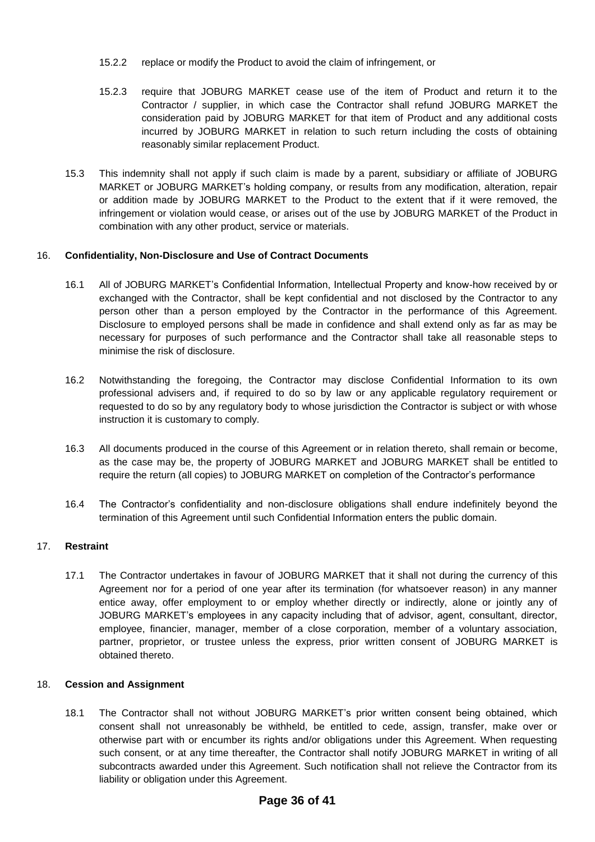- 15.2.2 replace or modify the Product to avoid the claim of infringement, or
- 15.2.3 require that JOBURG MARKET cease use of the item of Product and return it to the Contractor / supplier, in which case the Contractor shall refund JOBURG MARKET the consideration paid by JOBURG MARKET for that item of Product and any additional costs incurred by JOBURG MARKET in relation to such return including the costs of obtaining reasonably similar replacement Product.
- 15.3 This indemnity shall not apply if such claim is made by a parent, subsidiary or affiliate of JOBURG MARKET or JOBURG MARKET's holding company, or results from any modification, alteration, repair or addition made by JOBURG MARKET to the Product to the extent that if it were removed, the infringement or violation would cease, or arises out of the use by JOBURG MARKET of the Product in combination with any other product, service or materials.

#### 16. **Confidentiality, Non-Disclosure and Use of Contract Documents**

- 16.1 All of JOBURG MARKET's Confidential Information, Intellectual Property and know-how received by or exchanged with the Contractor, shall be kept confidential and not disclosed by the Contractor to any person other than a person employed by the Contractor in the performance of this Agreement. Disclosure to employed persons shall be made in confidence and shall extend only as far as may be necessary for purposes of such performance and the Contractor shall take all reasonable steps to minimise the risk of disclosure.
- 16.2 Notwithstanding the foregoing, the Contractor may disclose Confidential Information to its own professional advisers and, if required to do so by law or any applicable regulatory requirement or requested to do so by any regulatory body to whose jurisdiction the Contractor is subject or with whose instruction it is customary to comply.
- 16.3 All documents produced in the course of this Agreement or in relation thereto, shall remain or become, as the case may be, the property of JOBURG MARKET and JOBURG MARKET shall be entitled to require the return (all copies) to JOBURG MARKET on completion of the Contractor's performance
- 16.4 The Contractor's confidentiality and non-disclosure obligations shall endure indefinitely beyond the termination of this Agreement until such Confidential Information enters the public domain.

### 17. **Restraint**

17.1 The Contractor undertakes in favour of JOBURG MARKET that it shall not during the currency of this Agreement nor for a period of one year after its termination (for whatsoever reason) in any manner entice away, offer employment to or employ whether directly or indirectly, alone or jointly any of JOBURG MARKET's employees in any capacity including that of advisor, agent, consultant, director, employee, financier, manager, member of a close corporation, member of a voluntary association, partner, proprietor, or trustee unless the express, prior written consent of JOBURG MARKET is obtained thereto.

#### 18. **Cession and Assignment**

18.1 The Contractor shall not without JOBURG MARKET's prior written consent being obtained, which consent shall not unreasonably be withheld, be entitled to cede, assign, transfer, make over or otherwise part with or encumber its rights and/or obligations under this Agreement. When requesting such consent, or at any time thereafter, the Contractor shall notify JOBURG MARKET in writing of all subcontracts awarded under this Agreement. Such notification shall not relieve the Contractor from its liability or obligation under this Agreement.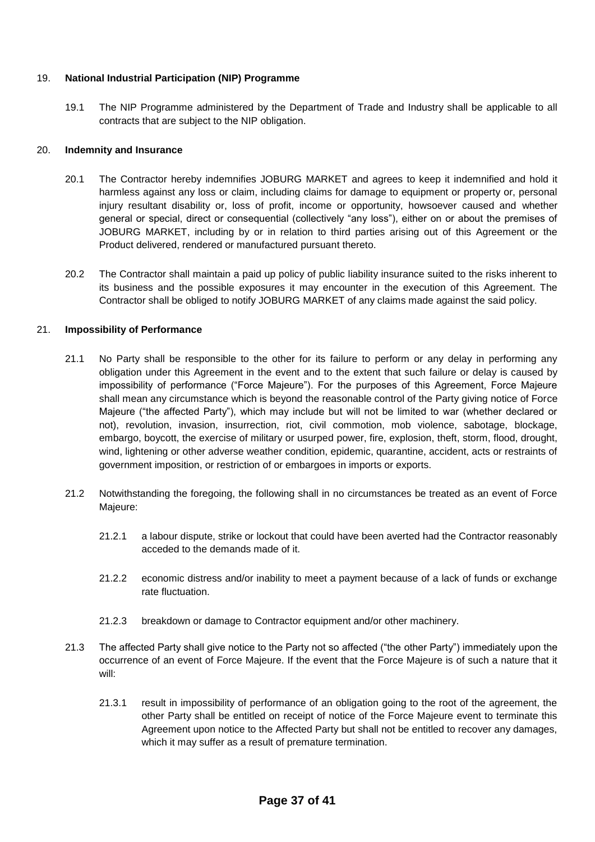#### 19. **National Industrial Participation (NIP) Programme**

19.1 The NIP Programme administered by the Department of Trade and Industry shall be applicable to all contracts that are subject to the NIP obligation.

#### 20. **Indemnity and Insurance**

- 20.1 The Contractor hereby indemnifies JOBURG MARKET and agrees to keep it indemnified and hold it harmless against any loss or claim, including claims for damage to equipment or property or, personal injury resultant disability or, loss of profit, income or opportunity, howsoever caused and whether general or special, direct or consequential (collectively "any loss"), either on or about the premises of JOBURG MARKET, including by or in relation to third parties arising out of this Agreement or the Product delivered, rendered or manufactured pursuant thereto.
- 20.2 The Contractor shall maintain a paid up policy of public liability insurance suited to the risks inherent to its business and the possible exposures it may encounter in the execution of this Agreement. The Contractor shall be obliged to notify JOBURG MARKET of any claims made against the said policy.

#### 21. **Impossibility of Performance**

- 21.1 No Party shall be responsible to the other for its failure to perform or any delay in performing any obligation under this Agreement in the event and to the extent that such failure or delay is caused by impossibility of performance ("Force Majeure"). For the purposes of this Agreement, Force Majeure shall mean any circumstance which is beyond the reasonable control of the Party giving notice of Force Majeure ("the affected Party"), which may include but will not be limited to war (whether declared or not), revolution, invasion, insurrection, riot, civil commotion, mob violence, sabotage, blockage, embargo, boycott, the exercise of military or usurped power, fire, explosion, theft, storm, flood, drought, wind, lightening or other adverse weather condition, epidemic, quarantine, accident, acts or restraints of government imposition, or restriction of or embargoes in imports or exports.
- 21.2 Notwithstanding the foregoing, the following shall in no circumstances be treated as an event of Force Majeure:
	- 21.2.1 a labour dispute, strike or lockout that could have been averted had the Contractor reasonably acceded to the demands made of it.
	- 21.2.2 economic distress and/or inability to meet a payment because of a lack of funds or exchange rate fluctuation.
	- 21.2.3 breakdown or damage to Contractor equipment and/or other machinery.
- 21.3 The affected Party shall give notice to the Party not so affected ("the other Party") immediately upon the occurrence of an event of Force Majeure. If the event that the Force Majeure is of such a nature that it will:
	- 21.3.1 result in impossibility of performance of an obligation going to the root of the agreement, the other Party shall be entitled on receipt of notice of the Force Majeure event to terminate this Agreement upon notice to the Affected Party but shall not be entitled to recover any damages, which it may suffer as a result of premature termination.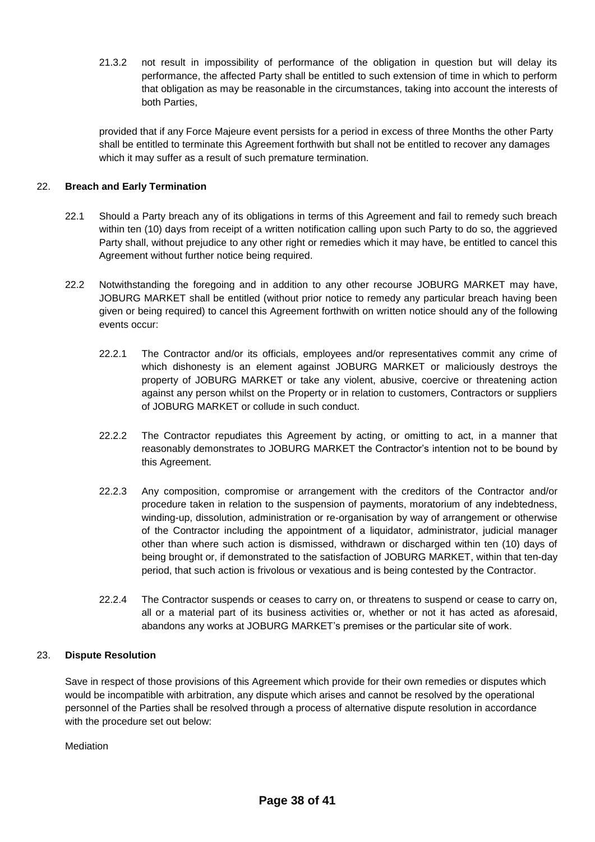21.3.2 not result in impossibility of performance of the obligation in question but will delay its performance, the affected Party shall be entitled to such extension of time in which to perform that obligation as may be reasonable in the circumstances, taking into account the interests of both Parties,

provided that if any Force Majeure event persists for a period in excess of three Months the other Party shall be entitled to terminate this Agreement forthwith but shall not be entitled to recover any damages which it may suffer as a result of such premature termination.

#### 22. **Breach and Early Termination**

- 22.1 Should a Party breach any of its obligations in terms of this Agreement and fail to remedy such breach within ten (10) days from receipt of a written notification calling upon such Party to do so, the aggrieved Party shall, without prejudice to any other right or remedies which it may have, be entitled to cancel this Agreement without further notice being required.
- 22.2 Notwithstanding the foregoing and in addition to any other recourse JOBURG MARKET may have, JOBURG MARKET shall be entitled (without prior notice to remedy any particular breach having been given or being required) to cancel this Agreement forthwith on written notice should any of the following events occur:
	- 22.2.1 The Contractor and/or its officials, employees and/or representatives commit any crime of which dishonesty is an element against JOBURG MARKET or maliciously destroys the property of JOBURG MARKET or take any violent, abusive, coercive or threatening action against any person whilst on the Property or in relation to customers, Contractors or suppliers of JOBURG MARKET or collude in such conduct.
	- 22.2.2 The Contractor repudiates this Agreement by acting, or omitting to act, in a manner that reasonably demonstrates to JOBURG MARKET the Contractor's intention not to be bound by this Agreement.
	- 22.2.3 Any composition, compromise or arrangement with the creditors of the Contractor and/or procedure taken in relation to the suspension of payments, moratorium of any indebtedness, winding-up, dissolution, administration or re-organisation by way of arrangement or otherwise of the Contractor including the appointment of a liquidator, administrator, judicial manager other than where such action is dismissed, withdrawn or discharged within ten (10) days of being brought or, if demonstrated to the satisfaction of JOBURG MARKET, within that ten-day period, that such action is frivolous or vexatious and is being contested by the Contractor.
	- 22.2.4 The Contractor suspends or ceases to carry on, or threatens to suspend or cease to carry on, all or a material part of its business activities or, whether or not it has acted as aforesaid, abandons any works at JOBURG MARKET's premises or the particular site of work.

#### 23. **Dispute Resolution**

Save in respect of those provisions of this Agreement which provide for their own remedies or disputes which would be incompatible with arbitration, any dispute which arises and cannot be resolved by the operational personnel of the Parties shall be resolved through a process of alternative dispute resolution in accordance with the procedure set out below:

Mediation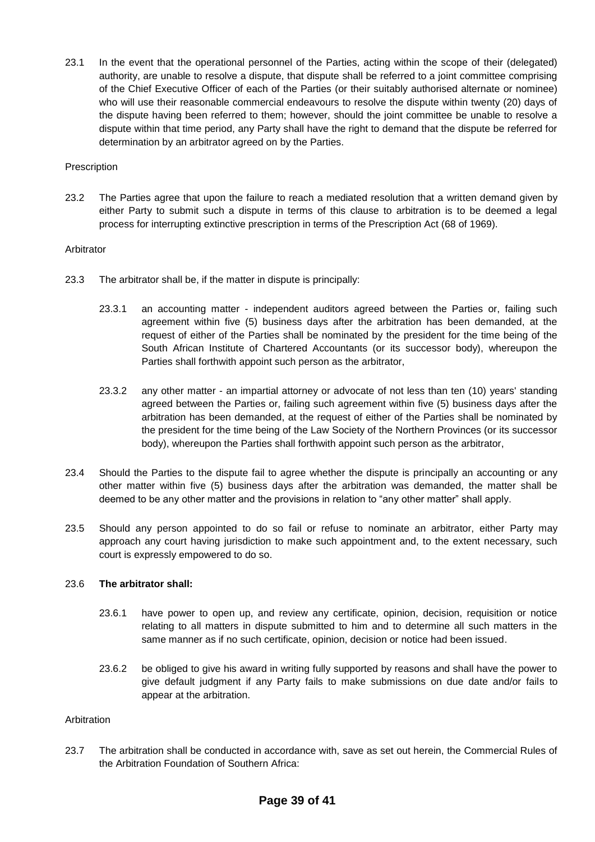23.1 In the event that the operational personnel of the Parties, acting within the scope of their (delegated) authority, are unable to resolve a dispute, that dispute shall be referred to a joint committee comprising of the Chief Executive Officer of each of the Parties (or their suitably authorised alternate or nominee) who will use their reasonable commercial endeavours to resolve the dispute within twenty (20) days of the dispute having been referred to them; however, should the joint committee be unable to resolve a dispute within that time period, any Party shall have the right to demand that the dispute be referred for determination by an arbitrator agreed on by the Parties.

#### **Prescription**

23.2 The Parties agree that upon the failure to reach a mediated resolution that a written demand given by either Party to submit such a dispute in terms of this clause to arbitration is to be deemed a legal process for interrupting extinctive prescription in terms of the Prescription Act (68 of 1969).

#### Arbitrator

- 23.3 The arbitrator shall be, if the matter in dispute is principally:
	- 23.3.1 an accounting matter independent auditors agreed between the Parties or, failing such agreement within five (5) business days after the arbitration has been demanded, at the request of either of the Parties shall be nominated by the president for the time being of the South African Institute of Chartered Accountants (or its successor body), whereupon the Parties shall forthwith appoint such person as the arbitrator,
	- 23.3.2 any other matter an impartial attorney or advocate of not less than ten (10) years' standing agreed between the Parties or, failing such agreement within five (5) business days after the arbitration has been demanded, at the request of either of the Parties shall be nominated by the president for the time being of the Law Society of the Northern Provinces (or its successor body), whereupon the Parties shall forthwith appoint such person as the arbitrator,
- 23.4 Should the Parties to the dispute fail to agree whether the dispute is principally an accounting or any other matter within five (5) business days after the arbitration was demanded, the matter shall be deemed to be any other matter and the provisions in relation to "any other matter" shall apply.
- 23.5 Should any person appointed to do so fail or refuse to nominate an arbitrator, either Party may approach any court having jurisdiction to make such appointment and, to the extent necessary, such court is expressly empowered to do so.

#### 23.6 **The arbitrator shall:**

- 23.6.1 have power to open up, and review any certificate, opinion, decision, requisition or notice relating to all matters in dispute submitted to him and to determine all such matters in the same manner as if no such certificate, opinion, decision or notice had been issued.
- 23.6.2 be obliged to give his award in writing fully supported by reasons and shall have the power to give default judgment if any Party fails to make submissions on due date and/or fails to appear at the arbitration.

#### Arbitration

23.7 The arbitration shall be conducted in accordance with, save as set out herein, the Commercial Rules of the Arbitration Foundation of Southern Africa: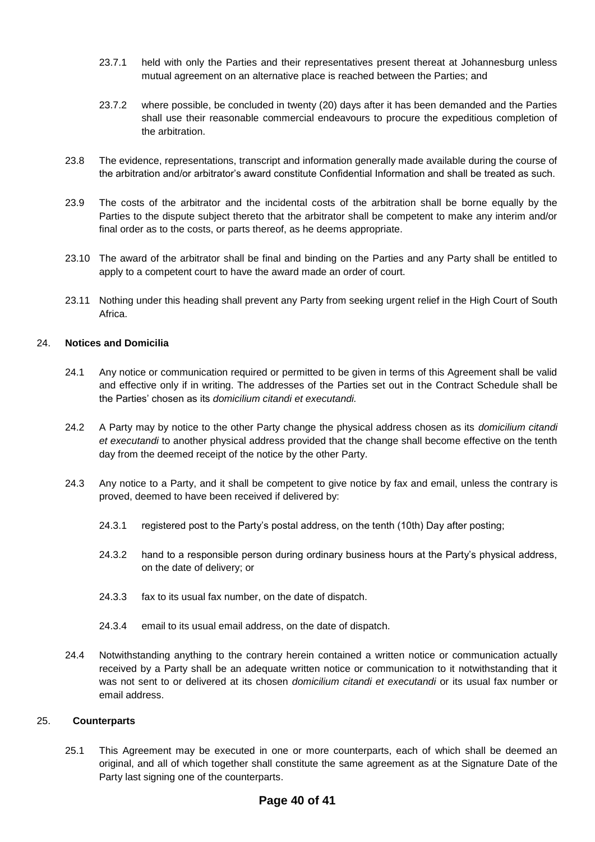- 23.7.1 held with only the Parties and their representatives present thereat at Johannesburg unless mutual agreement on an alternative place is reached between the Parties; and
- 23.7.2 where possible, be concluded in twenty (20) days after it has been demanded and the Parties shall use their reasonable commercial endeavours to procure the expeditious completion of the arbitration.
- 23.8 The evidence, representations, transcript and information generally made available during the course of the arbitration and/or arbitrator's award constitute Confidential Information and shall be treated as such.
- 23.9 The costs of the arbitrator and the incidental costs of the arbitration shall be borne equally by the Parties to the dispute subject thereto that the arbitrator shall be competent to make any interim and/or final order as to the costs, or parts thereof, as he deems appropriate.
- 23.10 The award of the arbitrator shall be final and binding on the Parties and any Party shall be entitled to apply to a competent court to have the award made an order of court.
- 23.11 Nothing under this heading shall prevent any Party from seeking urgent relief in the High Court of South Africa.

#### 24. **Notices and Domicilia**

- 24.1 Any notice or communication required or permitted to be given in terms of this Agreement shall be valid and effective only if in writing. The addresses of the Parties set out in the Contract Schedule shall be the Parties' chosen as its *domicilium citandi et executandi.*
- 24.2 A Party may by notice to the other Party change the physical address chosen as its *domicilium citandi et executandi* to another physical address provided that the change shall become effective on the tenth day from the deemed receipt of the notice by the other Party.
- 24.3 Any notice to a Party, and it shall be competent to give notice by fax and email, unless the contrary is proved, deemed to have been received if delivered by:
	- 24.3.1 registered post to the Party's postal address, on the tenth (10th) Day after posting;
	- 24.3.2 hand to a responsible person during ordinary business hours at the Party's physical address, on the date of delivery; or
	- 24.3.3 fax to its usual fax number, on the date of dispatch.
	- 24.3.4 email to its usual email address, on the date of dispatch.
- 24.4 Notwithstanding anything to the contrary herein contained a written notice or communication actually received by a Party shall be an adequate written notice or communication to it notwithstanding that it was not sent to or delivered at its chosen *domicilium citandi et executandi* or its usual fax number or email address.

#### 25. **Counterparts**

25.1 This Agreement may be executed in one or more counterparts, each of which shall be deemed an original, and all of which together shall constitute the same agreement as at the Signature Date of the Party last signing one of the counterparts.